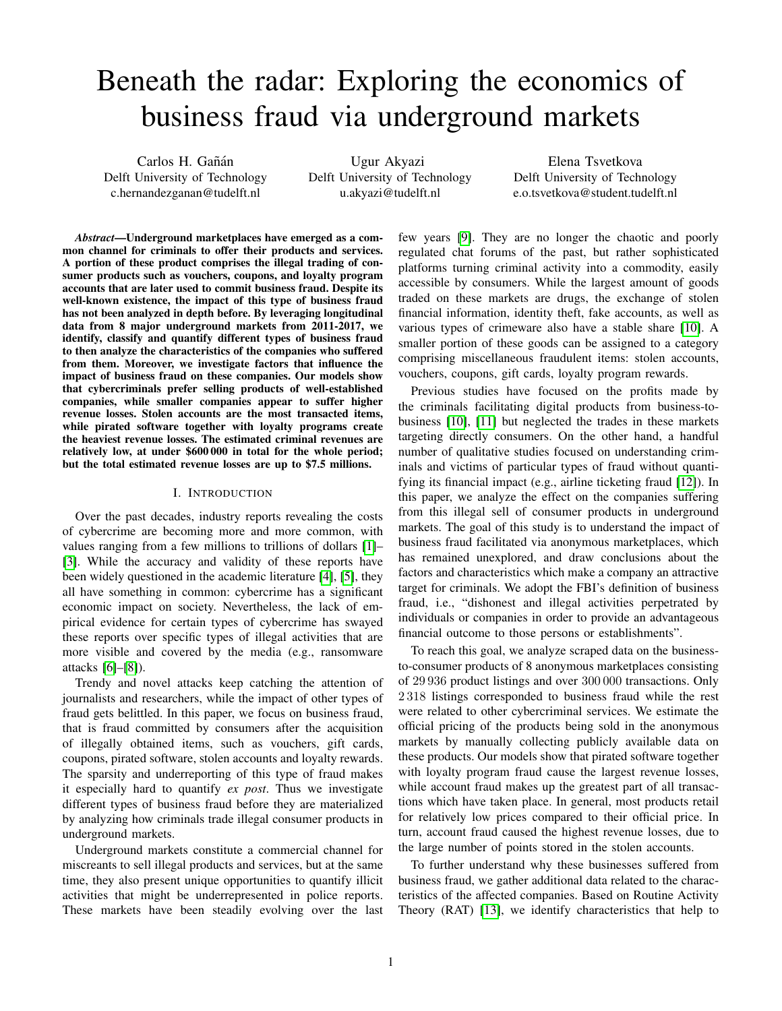# Beneath the radar: Exploring the economics of business fraud via underground markets

Carlos H. Gañán Delft University of Technology c.hernandezganan@tudelft.nl

Ugur Akyazi Delft University of Technology u.akyazi@tudelft.nl

Elena Tsvetkova Delft University of Technology e.o.tsvetkova@student.tudelft.nl

*Abstract*—Underground marketplaces have emerged as a common channel for criminals to offer their products and services. A portion of these product comprises the illegal trading of consumer products such as vouchers, coupons, and loyalty program accounts that are later used to commit business fraud. Despite its well-known existence, the impact of this type of business fraud has not been analyzed in depth before. By leveraging longitudinal data from 8 major underground markets from 2011-2017, we identify, classify and quantify different types of business fraud to then analyze the characteristics of the companies who suffered from them. Moreover, we investigate factors that influence the impact of business fraud on these companies. Our models show that cybercriminals prefer selling products of well-established companies, while smaller companies appear to suffer higher revenue losses. Stolen accounts are the most transacted items, while pirated software together with loyalty programs create the heaviest revenue losses. The estimated criminal revenues are relatively low, at under \$600 000 in total for the whole period; but the total estimated revenue losses are up to \$7.5 millions.

#### I. INTRODUCTION

Over the past decades, industry reports revealing the costs of cybercrime are becoming more and more common, with values ranging from a few millions to trillions of dollars [\[1\]](#page-12-0)– [\[3\]](#page-12-1). While the accuracy and validity of these reports have been widely questioned in the academic literature [\[4\]](#page-12-2), [\[5\]](#page-12-3), they all have something in common: cybercrime has a significant economic impact on society. Nevertheless, the lack of empirical evidence for certain types of cybercrime has swayed these reports over specific types of illegal activities that are more visible and covered by the media (e.g., ransomware attacks [\[6\]](#page-12-4)–[\[8\]](#page-12-5)).

Trendy and novel attacks keep catching the attention of journalists and researchers, while the impact of other types of fraud gets belittled. In this paper, we focus on business fraud, that is fraud committed by consumers after the acquisition of illegally obtained items, such as vouchers, gift cards, coupons, pirated software, stolen accounts and loyalty rewards. The sparsity and underreporting of this type of fraud makes it especially hard to quantify *ex post*. Thus we investigate different types of business fraud before they are materialized by analyzing how criminals trade illegal consumer products in underground markets.

Underground markets constitute a commercial channel for miscreants to sell illegal products and services, but at the same time, they also present unique opportunities to quantify illicit activities that might be underrepresented in police reports. These markets have been steadily evolving over the last

few years [\[9\]](#page-12-6). They are no longer the chaotic and poorly regulated chat forums of the past, but rather sophisticated platforms turning criminal activity into a commodity, easily accessible by consumers. While the largest amount of goods traded on these markets are drugs, the exchange of stolen financial information, identity theft, fake accounts, as well as various types of crimeware also have a stable share [\[10\]](#page-12-7). A smaller portion of these goods can be assigned to a category comprising miscellaneous fraudulent items: stolen accounts, vouchers, coupons, gift cards, loyalty program rewards.

Previous studies have focused on the profits made by the criminals facilitating digital products from business-tobusiness [\[10\]](#page-12-7), [\[11\]](#page-12-8) but neglected the trades in these markets targeting directly consumers. On the other hand, a handful number of qualitative studies focused on understanding criminals and victims of particular types of fraud without quantifying its financial impact (e.g., airline ticketing fraud [\[12\]](#page-12-9)). In this paper, we analyze the effect on the companies suffering from this illegal sell of consumer products in underground markets. The goal of this study is to understand the impact of business fraud facilitated via anonymous marketplaces, which has remained unexplored, and draw conclusions about the factors and characteristics which make a company an attractive target for criminals. We adopt the FBI's definition of business fraud, i.e., "dishonest and illegal activities perpetrated by individuals or companies in order to provide an advantageous financial outcome to those persons or establishments".

To reach this goal, we analyze scraped data on the businessto-consumer products of 8 anonymous marketplaces consisting of 29 936 product listings and over 300 000 transactions. Only 2 318 listings corresponded to business fraud while the rest were related to other cybercriminal services. We estimate the official pricing of the products being sold in the anonymous markets by manually collecting publicly available data on these products. Our models show that pirated software together with loyalty program fraud cause the largest revenue losses, while account fraud makes up the greatest part of all transactions which have taken place. In general, most products retail for relatively low prices compared to their official price. In turn, account fraud caused the highest revenue losses, due to the large number of points stored in the stolen accounts.

To further understand why these businesses suffered from business fraud, we gather additional data related to the characteristics of the affected companies. Based on Routine Activity Theory (RAT) [\[13\]](#page-12-10), we identify characteristics that help to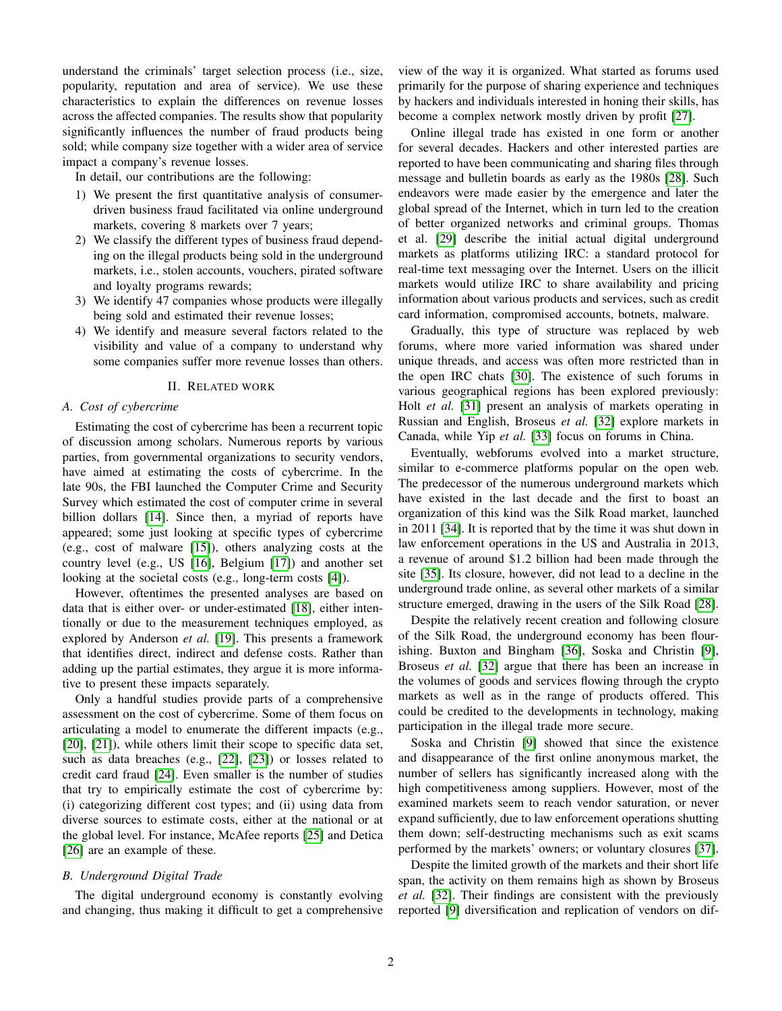understand the criminals' target selection process (i.e., size, popularity, reputation and area of service). We use these characteristics to explain the differences on revenue losses across the affected companies. The results show that popularity significantly influences the number of fraud products being sold; while company size together with a wider area of service impact a company's revenue losses.

In detail, our contributions are the following:

- 1) We present the first quantitative analysis of consumerdriven business fraud facilitated via online underground markets, covering 8 markets over 7 years;
- 2) We classify the different types of business fraud depending on the illegal products being sold in the underground markets, i.e., stolen accounts, vouchers, pirated software and loyalty programs rewards;
- 3) We identify 47 companies whose products were illegally being sold and estimated their revenue losses;
- 4) We identify and measure several factors related to the visibility and value of a company to understand why some companies suffer more revenue losses than others.

#### II. RELATED WORK

#### *A. Cost of cybercrime*

Estimating the cost of cybercrime has been a recurrent topic of discussion among scholars. Numerous reports by various parties, from governmental organizations to security vendors, have aimed at estimating the costs of cybercrime. In the late 90s, the FBI launched the Computer Crime and Security Survey which estimated the cost of computer crime in several billion dollars [\[14\]](#page-12-11). Since then, a myriad of reports have appeared; some just looking at specific types of cybercrime (e.g., cost of malware [\[15\]](#page-12-12)), others analyzing costs at the country level (e.g., US [\[16\]](#page-12-13), Belgium [\[17\]](#page-12-14)) and another set looking at the societal costs (e.g., long-term costs [\[4\]](#page-12-2)).

However, oftentimes the presented analyses are based on data that is either over- or under-estimated [\[18\]](#page-12-15), either intentionally or due to the measurement techniques employed, as explored by Anderson *et al.* [\[19\]](#page-12-16). This presents a framework that identifies direct, indirect and defense costs. Rather than adding up the partial estimates, they argue it is more informative to present these impacts separately.

Only a handful studies provide parts of a comprehensive assessment on the cost of cybercrime. Some of them focus on articulating a model to enumerate the different impacts (e.g., [\[20\]](#page-12-17), [\[21\]](#page-12-18)), while others limit their scope to specific data set, such as data breaches (e.g., [\[22\]](#page-12-19), [\[23\]](#page-12-20)) or losses related to credit card fraud [\[24\]](#page-12-21). Even smaller is the number of studies that try to empirically estimate the cost of cybercrime by: (i) categorizing different cost types; and (ii) using data from diverse sources to estimate costs, either at the national or at the global level. For instance, McAfee reports [\[25\]](#page-12-22) and Detica [\[26\]](#page-12-23) are an example of these.

# *B. Underground Digital Trade*

The digital underground economy is constantly evolving and changing, thus making it difficult to get a comprehensive

view of the way it is organized. What started as forums used primarily for the purpose of sharing experience and techniques by hackers and individuals interested in honing their skills, has become a complex network mostly driven by profit [\[27\]](#page-12-24).

Online illegal trade has existed in one form or another for several decades. Hackers and other interested parties are reported to have been communicating and sharing files through message and bulletin boards as early as the 1980s [\[28\]](#page-12-25). Such endeavors were made easier by the emergence and later the global spread of the Internet, which in turn led to the creation of better organized networks and criminal groups. Thomas et al. [\[29\]](#page-12-26) describe the initial actual digital underground markets as platforms utilizing IRC: a standard protocol for real-time text messaging over the Internet. Users on the illicit markets would utilize IRC to share availability and pricing information about various products and services, such as credit card information, compromised accounts, botnets, malware.

Gradually, this type of structure was replaced by web forums, where more varied information was shared under unique threads, and access was often more restricted than in the open IRC chats [\[30\]](#page-12-27). The existence of such forums in various geographical regions has been explored previously: Holt *et al.* [\[31\]](#page-12-28) present an analysis of markets operating in Russian and English, Broseus *et al.* [\[32\]](#page-12-29) explore markets in Canada, while Yip *et al.* [\[33\]](#page-12-30) focus on forums in China.

Eventually, webforums evolved into a market structure, similar to e-commerce platforms popular on the open web. The predecessor of the numerous underground markets which have existed in the last decade and the first to boast an organization of this kind was the Silk Road market, launched in 2011 [\[34\]](#page-12-31). It is reported that by the time it was shut down in law enforcement operations in the US and Australia in 2013, a revenue of around \$1.2 billion had been made through the site [\[35\]](#page-12-32). Its closure, however, did not lead to a decline in the underground trade online, as several other markets of a similar structure emerged, drawing in the users of the Silk Road [\[28\]](#page-12-25).

Despite the relatively recent creation and following closure of the Silk Road, the underground economy has been flourishing. Buxton and Bingham [\[36\]](#page-12-33), Soska and Christin [\[9\]](#page-12-6), Broseus *et al.* [\[32\]](#page-12-29) argue that there has been an increase in the volumes of goods and services flowing through the crypto markets as well as in the range of products offered. This could be credited to the developments in technology, making participation in the illegal trade more secure.

Soska and Christin [\[9\]](#page-12-6) showed that since the existence and disappearance of the first online anonymous market, the number of sellers has significantly increased along with the high competitiveness among suppliers. However, most of the examined markets seem to reach vendor saturation, or never expand sufficiently, due to law enforcement operations shutting them down; self-destructing mechanisms such as exit scams performed by the markets' owners; or voluntary closures [\[37\]](#page-12-34).

Despite the limited growth of the markets and their short life span, the activity on them remains high as shown by Broseus *et al.* [\[32\]](#page-12-29). Their findings are consistent with the previously reported [\[9\]](#page-12-6) diversification and replication of vendors on dif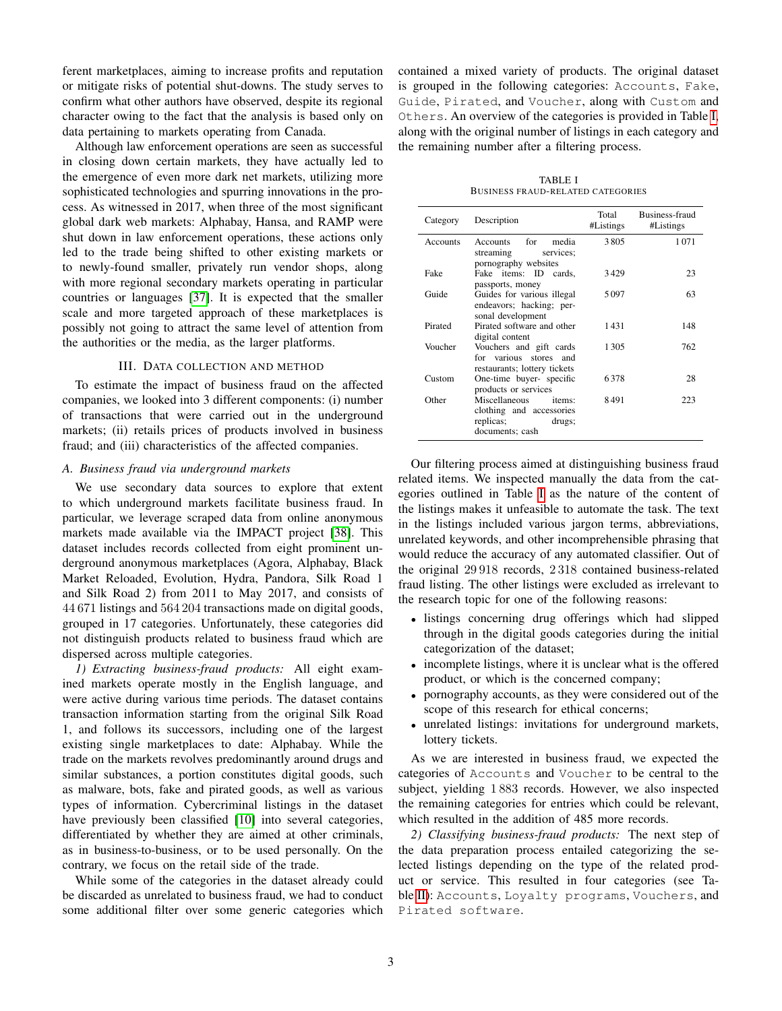ferent marketplaces, aiming to increase profits and reputation or mitigate risks of potential shut-downs. The study serves to confirm what other authors have observed, despite its regional character owing to the fact that the analysis is based only on data pertaining to markets operating from Canada.

Although law enforcement operations are seen as successful in closing down certain markets, they have actually led to the emergence of even more dark net markets, utilizing more sophisticated technologies and spurring innovations in the process. As witnessed in 2017, when three of the most significant global dark web markets: Alphabay, Hansa, and RAMP were shut down in law enforcement operations, these actions only led to the trade being shifted to other existing markets or to newly-found smaller, privately run vendor shops, along with more regional secondary markets operating in particular countries or languages [\[37\]](#page-12-34). It is expected that the smaller scale and more targeted approach of these marketplaces is possibly not going to attract the same level of attention from the authorities or the media, as the larger platforms.

# III. DATA COLLECTION AND METHOD

To estimate the impact of business fraud on the affected companies, we looked into 3 different components: (i) number of transactions that were carried out in the underground markets; (ii) retails prices of products involved in business fraud; and (iii) characteristics of the affected companies.

### *A. Business fraud via underground markets*

We use secondary data sources to explore that extent to which underground markets facilitate business fraud. In particular, we leverage scraped data from online anonymous markets made available via the IMPACT project [\[38\]](#page-13-0). This dataset includes records collected from eight prominent underground anonymous marketplaces (Agora, Alphabay, Black Market Reloaded, Evolution, Hydra, Pandora, Silk Road 1 and Silk Road 2) from 2011 to May 2017, and consists of 44 671 listings and 564 204 transactions made on digital goods, grouped in 17 categories. Unfortunately, these categories did not distinguish products related to business fraud which are dispersed across multiple categories.

*1) Extracting business-fraud products:* All eight examined markets operate mostly in the English language, and were active during various time periods. The dataset contains transaction information starting from the original Silk Road 1, and follows its successors, including one of the largest existing single marketplaces to date: Alphabay. While the trade on the markets revolves predominantly around drugs and similar substances, a portion constitutes digital goods, such as malware, bots, fake and pirated goods, as well as various types of information. Cybercriminal listings in the dataset have previously been classified [\[10\]](#page-12-7) into several categories, differentiated by whether they are aimed at other criminals, as in business-to-business, or to be used personally. On the contrary, we focus on the retail side of the trade.

While some of the categories in the dataset already could be discarded as unrelated to business fraud, we had to conduct some additional filter over some generic categories which contained a mixed variety of products. The original dataset is grouped in the following categories: Accounts, Fake, Guide, Pirated, and Voucher, along with Custom and Others. An overview of the categories is provided in Table [I,](#page-2-0) along with the original number of listings in each category and the remaining number after a filtering process.

TABLE I BUSINESS FRAUD-RELATED CATEGORIES

<span id="page-2-0"></span>

| Category        | Description                                                                                   | Total<br>#Listings | Business-fraud<br>#Listings |
|-----------------|-----------------------------------------------------------------------------------------------|--------------------|-----------------------------|
| <b>Accounts</b> | Accounts for<br>media<br>streaming<br>services:<br>pornography websites                       | 3805               | 1071                        |
| Fake            | Fake items: ID cards.<br>passports, money                                                     | 3429               | 23                          |
| Guide           | Guides for various illegal<br>endeavors; hacking; per-<br>sonal development                   | 5097               | 63                          |
| Pirated         | Pirated software and other<br>digital content                                                 | 1431               | 148                         |
| Voucher         | Vouchers and gift cards<br>for various stores and<br>restaurants; lottery tickets             | 1305               | 762                         |
| Custom          | One-time buyer- specific<br>products or services                                              | 6378               | 28                          |
| Other           | Miscellaneous<br>items:<br>clothing and accessories<br>replicas;<br>drugs;<br>documents; cash | 8491               | 223                         |

Our filtering process aimed at distinguishing business fraud related items. We inspected manually the data from the categories outlined in Table [I](#page-2-0) as the nature of the content of the listings makes it unfeasible to automate the task. The text in the listings included various jargon terms, abbreviations, unrelated keywords, and other incomprehensible phrasing that would reduce the accuracy of any automated classifier. Out of the original 29 918 records, 2 318 contained business-related fraud listing. The other listings were excluded as irrelevant to the research topic for one of the following reasons:

- listings concerning drug offerings which had slipped through in the digital goods categories during the initial categorization of the dataset;
- incomplete listings, where it is unclear what is the offered product, or which is the concerned company;
- pornography accounts, as they were considered out of the scope of this research for ethical concerns;
- unrelated listings: invitations for underground markets, lottery tickets.

As we are interested in business fraud, we expected the categories of Accounts and Voucher to be central to the subject, yielding 1 883 records. However, we also inspected the remaining categories for entries which could be relevant, which resulted in the addition of 485 more records.

*2) Classifying business-fraud products:* The next step of the data preparation process entailed categorizing the selected listings depending on the type of the related product or service. This resulted in four categories (see Ta-ble [II\)](#page-3-0): Accounts, Loyalty programs, Vouchers, and Pirated software.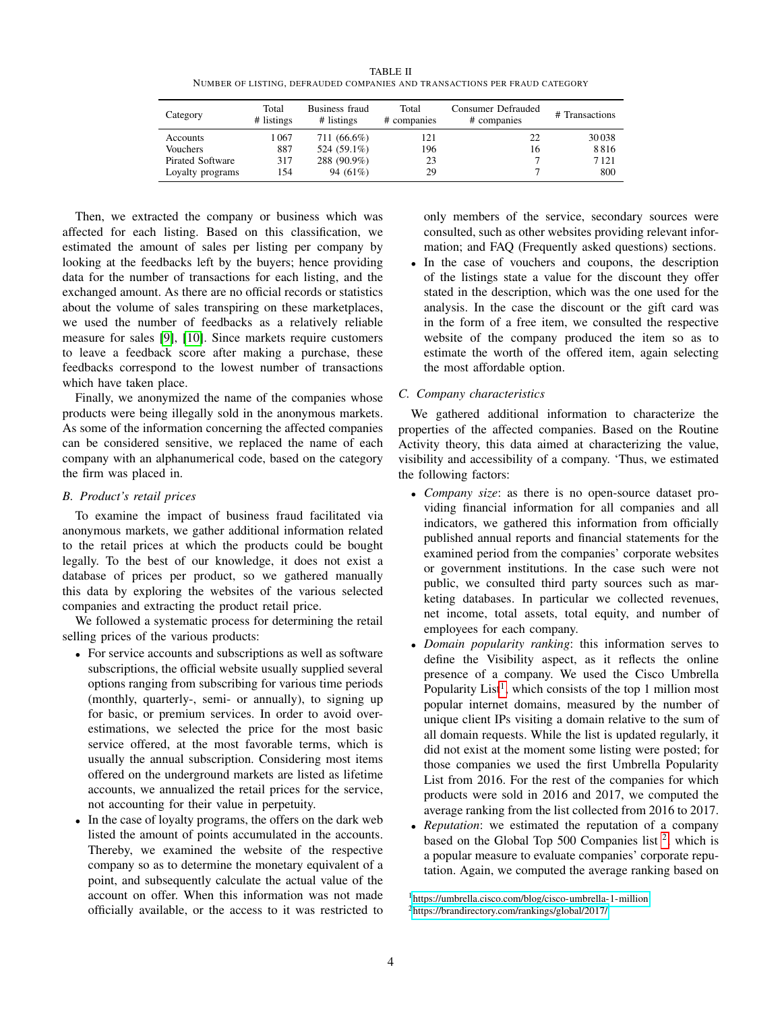TABLE II NUMBER OF LISTING, DEFRAUDED COMPANIES AND TRANSACTIONS PER FRAUD CATEGORY

<span id="page-3-0"></span>

| Category                | Total<br># listings | Business fraud<br># listings | Total<br># companies | Consumer Defrauded<br># companies | # Transactions |  |
|-------------------------|---------------------|------------------------------|----------------------|-----------------------------------|----------------|--|
| Accounts                | 1 067               | 711 (66.6%)                  | 121                  | 22                                | 30038          |  |
| Vouchers                | 887                 | 524 (59.1%)                  | 196                  | 16                                | 8816           |  |
| <b>Pirated Software</b> | 317                 | 288 (90.9%)                  | 23                   |                                   | 7121           |  |
| Loyalty programs        | 154                 | 94 $(61\%)$                  | 29                   |                                   | 800            |  |

Then, we extracted the company or business which was affected for each listing. Based on this classification, we estimated the amount of sales per listing per company by looking at the feedbacks left by the buyers; hence providing data for the number of transactions for each listing, and the exchanged amount. As there are no official records or statistics about the volume of sales transpiring on these marketplaces, we used the number of feedbacks as a relatively reliable measure for sales [\[9\]](#page-12-6), [\[10\]](#page-12-7). Since markets require customers to leave a feedback score after making a purchase, these feedbacks correspond to the lowest number of transactions which have taken place.

Finally, we anonymized the name of the companies whose products were being illegally sold in the anonymous markets. As some of the information concerning the affected companies can be considered sensitive, we replaced the name of each company with an alphanumerical code, based on the category the firm was placed in.

# *B. Product's retail prices*

To examine the impact of business fraud facilitated via anonymous markets, we gather additional information related to the retail prices at which the products could be bought legally. To the best of our knowledge, it does not exist a database of prices per product, so we gathered manually this data by exploring the websites of the various selected companies and extracting the product retail price.

We followed a systematic process for determining the retail selling prices of the various products:

- For service accounts and subscriptions as well as software subscriptions, the official website usually supplied several options ranging from subscribing for various time periods (monthly, quarterly-, semi- or annually), to signing up for basic, or premium services. In order to avoid overestimations, we selected the price for the most basic service offered, at the most favorable terms, which is usually the annual subscription. Considering most items offered on the underground markets are listed as lifetime accounts, we annualized the retail prices for the service, not accounting for their value in perpetuity.
- In the case of loyalty programs, the offers on the dark web listed the amount of points accumulated in the accounts. Thereby, we examined the website of the respective company so as to determine the monetary equivalent of a point, and subsequently calculate the actual value of the account on offer. When this information was not made officially available, or the access to it was restricted to

only members of the service, secondary sources were consulted, such as other websites providing relevant information; and FAQ (Frequently asked questions) sections.

• In the case of vouchers and coupons, the description of the listings state a value for the discount they offer stated in the description, which was the one used for the analysis. In the case the discount or the gift card was in the form of a free item, we consulted the respective website of the company produced the item so as to estimate the worth of the offered item, again selecting the most affordable option.

# *C. Company characteristics*

We gathered additional information to characterize the properties of the affected companies. Based on the Routine Activity theory, this data aimed at characterizing the value, visibility and accessibility of a company. 'Thus, we estimated the following factors:

- *Company size*: as there is no open-source dataset providing financial information for all companies and all indicators, we gathered this information from officially published annual reports and financial statements for the examined period from the companies' corporate websites or government institutions. In the case such were not public, we consulted third party sources such as marketing databases. In particular we collected revenues, net income, total assets, total equity, and number of employees for each company.
- *Domain popularity ranking*: this information serves to define the Visibility aspect, as it reflects the online presence of a company. We used the Cisco Umbrella Popularity List<sup>[1](#page-3-1)</sup>, which consists of the top 1 million most popular internet domains, measured by the number of unique client IPs visiting a domain relative to the sum of all domain requests. While the list is updated regularly, it did not exist at the moment some listing were posted; for those companies we used the first Umbrella Popularity List from 2016. For the rest of the companies for which products were sold in 2016 and 2017, we computed the average ranking from the list collected from 2016 to 2017.
- *Reputation*: we estimated the reputation of a company based on the Global Top 500 Companies list<sup>[2](#page-3-2)</sup>, which is a popular measure to evaluate companies' corporate reputation. Again, we computed the average ranking based on

<span id="page-3-2"></span><span id="page-3-1"></span><sup>1</sup><https://umbrella.cisco.com/blog/cisco-umbrella-1-million> <sup>2</sup><https://brandirectory.com/rankings/global/2017/>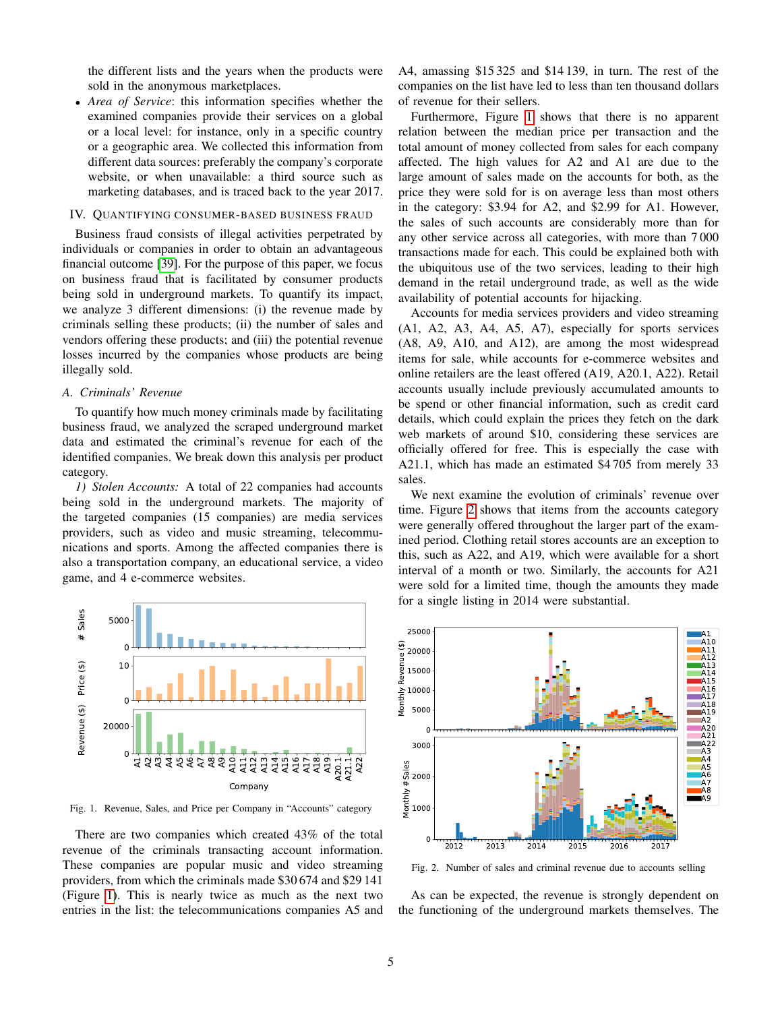the different lists and the years when the products were sold in the anonymous marketplaces.

• *Area of Service*: this information specifies whether the examined companies provide their services on a global or a local level: for instance, only in a specific country or a geographic area. We collected this information from different data sources: preferably the company's corporate website, or when unavailable: a third source such as marketing databases, and is traced back to the year 2017.

## IV. QUANTIFYING CONSUMER-BASED BUSINESS FRAUD

Business fraud consists of illegal activities perpetrated by individuals or companies in order to obtain an advantageous financial outcome [\[39\]](#page-13-1). For the purpose of this paper, we focus on business fraud that is facilitated by consumer products being sold in underground markets. To quantify its impact, we analyze 3 different dimensions: (i) the revenue made by criminals selling these products; (ii) the number of sales and vendors offering these products; and (iii) the potential revenue losses incurred by the companies whose products are being illegally sold.

# *A. Criminals' Revenue*

To quantify how much money criminals made by facilitating business fraud, we analyzed the scraped underground market data and estimated the criminal's revenue for each of the identified companies. We break down this analysis per product category.

*1) Stolen Accounts:* A total of 22 companies had accounts being sold in the underground markets. The majority of the targeted companies (15 companies) are media services providers, such as video and music streaming, telecommunications and sports. Among the affected companies there is also a transportation company, an educational service, a video game, and 4 e-commerce websites.



<span id="page-4-0"></span>Fig. 1. Revenue, Sales, and Price per Company in "Accounts" category

There are two companies which created 43% of the total revenue of the criminals transacting account information. These companies are popular music and video streaming providers, from which the criminals made \$30 674 and \$29 141 (Figure [1\)](#page-4-0). This is nearly twice as much as the next two entries in the list: the telecommunications companies A5 and A4, amassing \$15 325 and \$14 139, in turn. The rest of the companies on the list have led to less than ten thousand dollars of revenue for their sellers.

Furthermore, Figure [1](#page-4-0) shows that there is no apparent relation between the median price per transaction and the total amount of money collected from sales for each company affected. The high values for A2 and A1 are due to the large amount of sales made on the accounts for both, as the price they were sold for is on average less than most others in the category: \$3.94 for A2, and \$2.99 for A1. However, the sales of such accounts are considerably more than for any other service across all categories, with more than 7 000 transactions made for each. This could be explained both with the ubiquitous use of the two services, leading to their high demand in the retail underground trade, as well as the wide availability of potential accounts for hijacking.

Accounts for media services providers and video streaming (A1, A2, A3, A4, A5, A7), especially for sports services (A8, A9, A10, and A12), are among the most widespread items for sale, while accounts for e-commerce websites and online retailers are the least offered (A19, A20.1, A22). Retail accounts usually include previously accumulated amounts to be spend or other financial information, such as credit card details, which could explain the prices they fetch on the dark web markets of around \$10, considering these services are officially offered for free. This is especially the case with A21.1, which has made an estimated \$4 705 from merely 33 sales.

We next examine the evolution of criminals' revenue over time. Figure [2](#page-4-1) shows that items from the accounts category were generally offered throughout the larger part of the examined period. Clothing retail stores accounts are an exception to this, such as A22, and A19, which were available for a short interval of a month or two. Similarly, the accounts for A21 were sold for a limited time, though the amounts they made for a single listing in 2014 were substantial.



<span id="page-4-1"></span>Fig. 2. Number of sales and criminal revenue due to accounts selling

As can be expected, the revenue is strongly dependent on the functioning of the underground markets themselves. The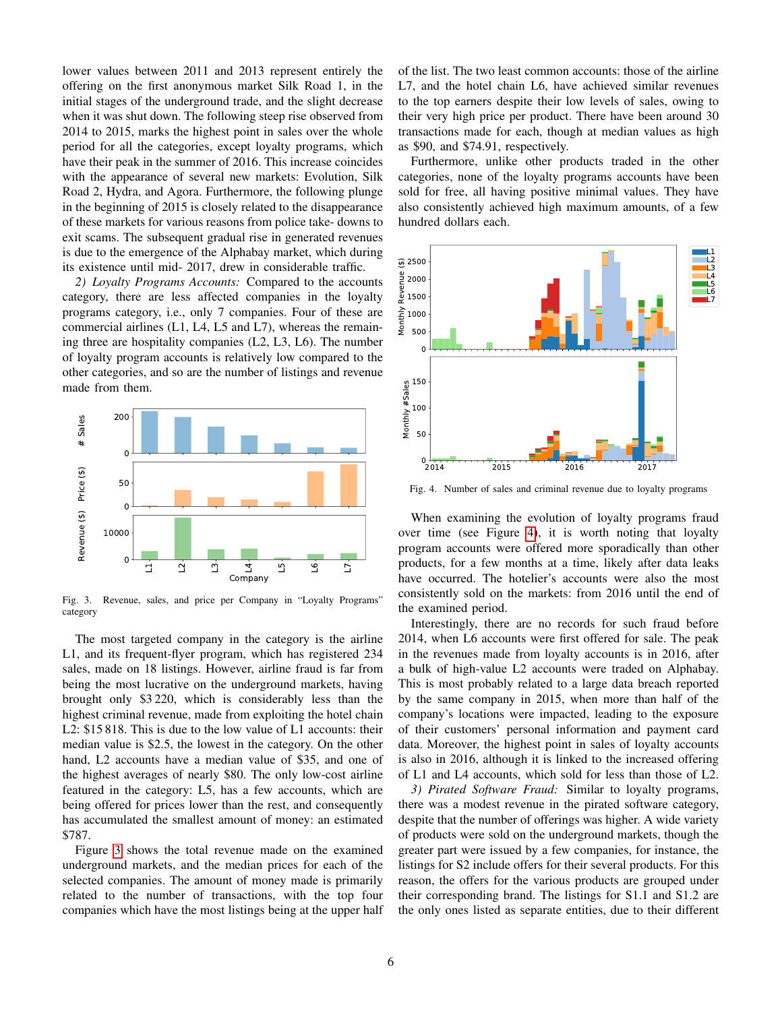lower values between 2011 and 2013 represent entirely the offering on the first anonymous market Silk Road 1, in the initial stages of the underground trade, and the slight decrease when it was shut down. The following steep rise observed from 2014 to 2015, marks the highest point in sales over the whole period for all the categories, except loyalty programs, which have their peak in the summer of 2016. This increase coincides with the appearance of several new markets: Evolution, Silk Road 2, Hydra, and Agora. Furthermore, the following plunge in the beginning of 2015 is closely related to the disappearance of these markets for various reasons from police take- downs to exit scams. The subsequent gradual rise in generated revenues is due to the emergence of the Alphabay market, which during its existence until mid- 2017, drew in considerable traffic.

*2) Loyalty Programs Accounts:* Compared to the accounts category, there are less affected companies in the loyalty programs category, i.e., only 7 companies. Four of these are commercial airlines (L1, L4, L5 and L7), whereas the remaining three are hospitality companies (L2, L3, L6). The number of loyalty program accounts is relatively low compared to the other categories, and so are the number of listings and revenue made from them.



<span id="page-5-0"></span>Fig. 3. Revenue, sales, and price per Company in "Loyalty Programs" category

The most targeted company in the category is the airline L1, and its frequent-flyer program, which has registered 234 sales, made on 18 listings. However, airline fraud is far from being the most lucrative on the underground markets, having brought only \$3 220, which is considerably less than the highest criminal revenue, made from exploiting the hotel chain L2: \$15 818. This is due to the low value of L1 accounts: their median value is \$2.5, the lowest in the category. On the other hand, L2 accounts have a median value of \$35, and one of the highest averages of nearly \$80. The only low-cost airline featured in the category: L5, has a few accounts, which are being offered for prices lower than the rest, and consequently has accumulated the smallest amount of money: an estimated \$787.

Figure [3](#page-5-0) shows the total revenue made on the examined underground markets, and the median prices for each of the selected companies. The amount of money made is primarily related to the number of transactions, with the top four companies which have the most listings being at the upper half

of the list. The two least common accounts: those of the airline L7, and the hotel chain L6, have achieved similar revenues to the top earners despite their low levels of sales, owing to their very high price per product. There have been around 30 transactions made for each, though at median values as high as \$90, and \$74.91, respectively.

Furthermore, unlike other products traded in the other categories, none of the loyalty programs accounts have been sold for free, all having positive minimal values. They have also consistently achieved high maximum amounts, of a few hundred dollars each.



<span id="page-5-1"></span>Fig. 4. Number of sales and criminal revenue due to loyalty programs

When examining the evolution of loyalty programs fraud over time (see Figure [4\)](#page-5-1), it is worth noting that loyalty program accounts were offered more sporadically than other products, for a few months at a time, likely after data leaks have occurred. The hotelier's accounts were also the most consistently sold on the markets: from 2016 until the end of the examined period.

Interestingly, there are no records for such fraud before 2014, when L6 accounts were first offered for sale. The peak in the revenues made from loyalty accounts is in 2016, after a bulk of high-value L2 accounts were traded on Alphabay. This is most probably related to a large data breach reported by the same company in 2015, when more than half of the company's locations were impacted, leading to the exposure of their customers' personal information and payment card data. Moreover, the highest point in sales of loyalty accounts is also in 2016, although it is linked to the increased offering of L1 and L4 accounts, which sold for less than those of L2.

*3) Pirated Software Fraud:* Similar to loyalty programs, there was a modest revenue in the pirated software category, despite that the number of offerings was higher. A wide variety of products were sold on the underground markets, though the greater part were issued by a few companies, for instance, the listings for S2 include offers for their several products. For this reason, the offers for the various products are grouped under their corresponding brand. The listings for S1.1 and S1.2 are the only ones listed as separate entities, due to their different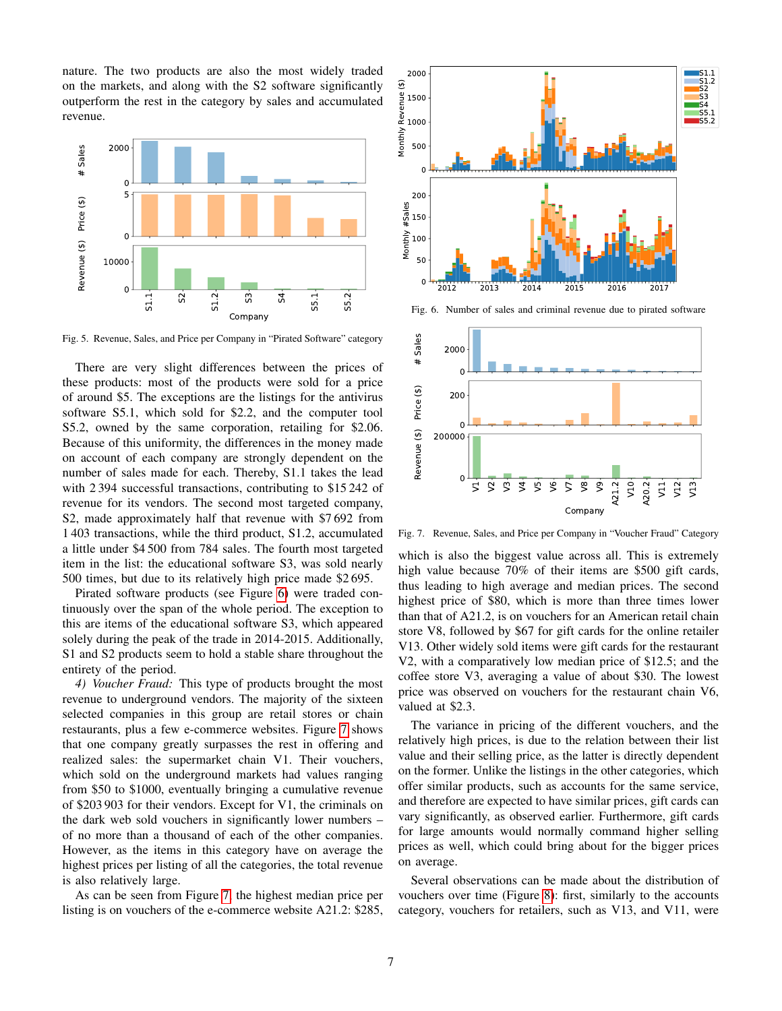nature. The two products are also the most widely traded on the markets, and along with the S2 software significantly outperform the rest in the category by sales and accumulated revenue.



Fig. 5. Revenue, Sales, and Price per Company in "Pirated Software" category

There are very slight differences between the prices of these products: most of the products were sold for a price of around \$5. The exceptions are the listings for the antivirus software S5.1, which sold for \$2.2, and the computer tool S5.2, owned by the same corporation, retailing for \$2.06. Because of this uniformity, the differences in the money made on account of each company are strongly dependent on the number of sales made for each. Thereby, S1.1 takes the lead with 2 394 successful transactions, contributing to \$15 242 of revenue for its vendors. The second most targeted company, S2, made approximately half that revenue with \$7 692 from 1 403 transactions, while the third product, S1.2, accumulated a little under \$4 500 from 784 sales. The fourth most targeted item in the list: the educational software S3, was sold nearly 500 times, but due to its relatively high price made \$2 695.

Pirated software products (see Figure [6\)](#page-6-0) were traded continuously over the span of the whole period. The exception to this are items of the educational software S3, which appeared solely during the peak of the trade in 2014-2015. Additionally, S1 and S2 products seem to hold a stable share throughout the entirety of the period.

*4) Voucher Fraud:* This type of products brought the most revenue to underground vendors. The majority of the sixteen selected companies in this group are retail stores or chain restaurants, plus a few e-commerce websites. Figure [7](#page-6-1) shows that one company greatly surpasses the rest in offering and realized sales: the supermarket chain V1. Their vouchers, which sold on the underground markets had values ranging from \$50 to \$1000, eventually bringing a cumulative revenue of \$203 903 for their vendors. Except for V1, the criminals on the dark web sold vouchers in significantly lower numbers – of no more than a thousand of each of the other companies. However, as the items in this category have on average the highest prices per listing of all the categories, the total revenue is also relatively large.

As can be seen from Figure [7,](#page-6-1) the highest median price per listing is on vouchers of the e-commerce website A21.2: \$285,



<span id="page-6-0"></span>Fig. 6. Number of sales and criminal revenue due to pirated software



<span id="page-6-1"></span>Fig. 7. Revenue, Sales, and Price per Company in "Voucher Fraud" Category

which is also the biggest value across all. This is extremely high value because 70% of their items are \$500 gift cards, thus leading to high average and median prices. The second highest price of \$80, which is more than three times lower than that of A21.2, is on vouchers for an American retail chain store V8, followed by \$67 for gift cards for the online retailer V13. Other widely sold items were gift cards for the restaurant V2, with a comparatively low median price of \$12.5; and the coffee store V3, averaging a value of about \$30. The lowest price was observed on vouchers for the restaurant chain V6, valued at \$2.3.

The variance in pricing of the different vouchers, and the relatively high prices, is due to the relation between their list value and their selling price, as the latter is directly dependent on the former. Unlike the listings in the other categories, which offer similar products, such as accounts for the same service, and therefore are expected to have similar prices, gift cards can vary significantly, as observed earlier. Furthermore, gift cards for large amounts would normally command higher selling prices as well, which could bring about for the bigger prices on average.

Several observations can be made about the distribution of vouchers over time (Figure [8\)](#page-7-0): first, similarly to the accounts category, vouchers for retailers, such as V13, and V11, were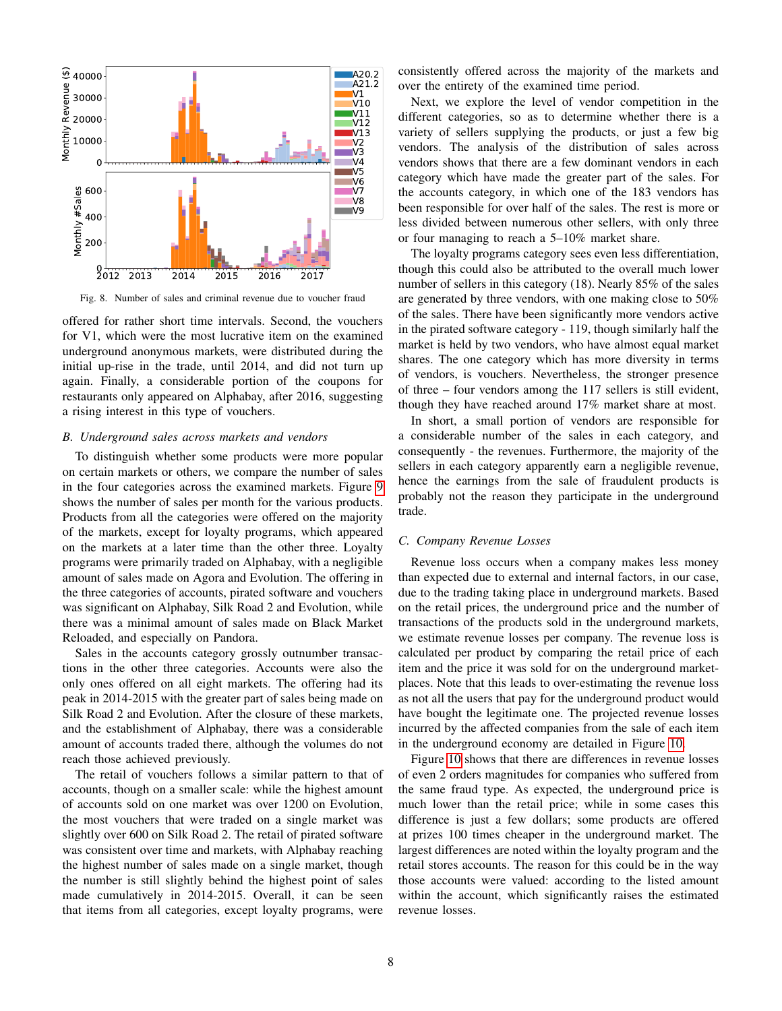

<span id="page-7-0"></span>Fig. 8. Number of sales and criminal revenue due to voucher fraud

offered for rather short time intervals. Second, the vouchers for V1, which were the most lucrative item on the examined underground anonymous markets, were distributed during the initial up-rise in the trade, until 2014, and did not turn up again. Finally, a considerable portion of the coupons for restaurants only appeared on Alphabay, after 2016, suggesting a rising interest in this type of vouchers.

#### *B. Underground sales across markets and vendors*

To distinguish whether some products were more popular on certain markets or others, we compare the number of sales in the four categories across the examined markets. Figure [9](#page-8-0) shows the number of sales per month for the various products. Products from all the categories were offered on the majority of the markets, except for loyalty programs, which appeared on the markets at a later time than the other three. Loyalty programs were primarily traded on Alphabay, with a negligible amount of sales made on Agora and Evolution. The offering in the three categories of accounts, pirated software and vouchers was significant on Alphabay, Silk Road 2 and Evolution, while there was a minimal amount of sales made on Black Market Reloaded, and especially on Pandora.

Sales in the accounts category grossly outnumber transactions in the other three categories. Accounts were also the only ones offered on all eight markets. The offering had its peak in 2014-2015 with the greater part of sales being made on Silk Road 2 and Evolution. After the closure of these markets, and the establishment of Alphabay, there was a considerable amount of accounts traded there, although the volumes do not reach those achieved previously.

The retail of vouchers follows a similar pattern to that of accounts, though on a smaller scale: while the highest amount of accounts sold on one market was over 1200 on Evolution, the most vouchers that were traded on a single market was slightly over 600 on Silk Road 2. The retail of pirated software was consistent over time and markets, with Alphabay reaching the highest number of sales made on a single market, though the number is still slightly behind the highest point of sales made cumulatively in 2014-2015. Overall, it can be seen that items from all categories, except loyalty programs, were

consistently offered across the majority of the markets and over the entirety of the examined time period.

Next, we explore the level of vendor competition in the different categories, so as to determine whether there is a variety of sellers supplying the products, or just a few big vendors. The analysis of the distribution of sales across vendors shows that there are a few dominant vendors in each category which have made the greater part of the sales. For the accounts category, in which one of the 183 vendors has been responsible for over half of the sales. The rest is more or less divided between numerous other sellers, with only three or four managing to reach a 5–10% market share.

The loyalty programs category sees even less differentiation, though this could also be attributed to the overall much lower number of sellers in this category (18). Nearly 85% of the sales are generated by three vendors, with one making close to 50% of the sales. There have been significantly more vendors active in the pirated software category - 119, though similarly half the market is held by two vendors, who have almost equal market shares. The one category which has more diversity in terms of vendors, is vouchers. Nevertheless, the stronger presence of three – four vendors among the 117 sellers is still evident, though they have reached around 17% market share at most.

In short, a small portion of vendors are responsible for a considerable number of the sales in each category, and consequently - the revenues. Furthermore, the majority of the sellers in each category apparently earn a negligible revenue, hence the earnings from the sale of fraudulent products is probably not the reason they participate in the underground trade.

# *C. Company Revenue Losses*

Revenue loss occurs when a company makes less money than expected due to external and internal factors, in our case, due to the trading taking place in underground markets. Based on the retail prices, the underground price and the number of transactions of the products sold in the underground markets, we estimate revenue losses per company. The revenue loss is calculated per product by comparing the retail price of each item and the price it was sold for on the underground marketplaces. Note that this leads to over-estimating the revenue loss as not all the users that pay for the underground product would have bought the legitimate one. The projected revenue losses incurred by the affected companies from the sale of each item in the underground economy are detailed in Figure [10.](#page-8-1)

Figure [10](#page-8-1) shows that there are differences in revenue losses of even 2 orders magnitudes for companies who suffered from the same fraud type. As expected, the underground price is much lower than the retail price; while in some cases this difference is just a few dollars; some products are offered at prizes 100 times cheaper in the underground market. The largest differences are noted within the loyalty program and the retail stores accounts. The reason for this could be in the way those accounts were valued: according to the listed amount within the account, which significantly raises the estimated revenue losses.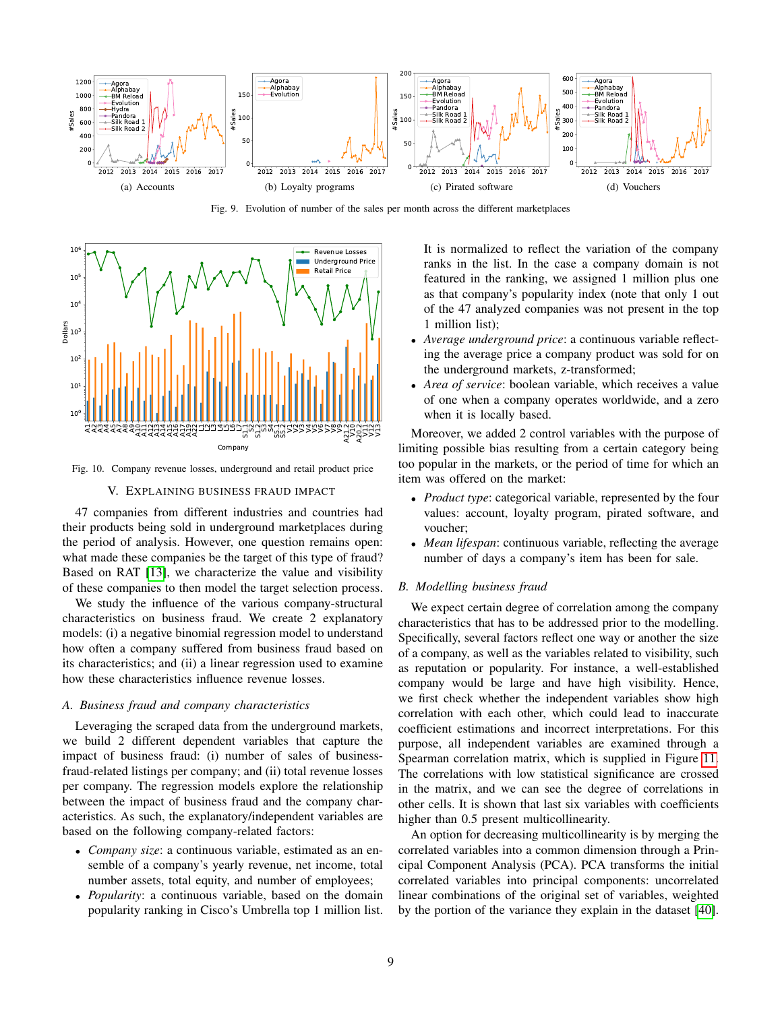

<span id="page-8-0"></span>Fig. 9. Evolution of number of the sales per month across the different marketplaces



Fig. 10. Company revenue losses, underground and retail product price

<span id="page-8-1"></span>V. EXPLAINING BUSINESS FRAUD IMPACT

47 companies from different industries and countries had their products being sold in underground marketplaces during the period of analysis. However, one question remains open: what made these companies be the target of this type of fraud? Based on RAT [\[13\]](#page-12-10), we characterize the value and visibility of these companies to then model the target selection process.

We study the influence of the various company-structural characteristics on business fraud. We create 2 explanatory models: (i) a negative binomial regression model to understand how often a company suffered from business fraud based on its characteristics; and (ii) a linear regression used to examine how these characteristics influence revenue losses.

#### *A. Business fraud and company characteristics*

Leveraging the scraped data from the underground markets, we build 2 different dependent variables that capture the impact of business fraud: (i) number of sales of businessfraud-related listings per company; and (ii) total revenue losses per company. The regression models explore the relationship between the impact of business fraud and the company characteristics. As such, the explanatory/independent variables are based on the following company-related factors:

- *Company size*: a continuous variable, estimated as an ensemble of a company's yearly revenue, net income, total number assets, total equity, and number of employees;
- *Popularity*: a continuous variable, based on the domain popularity ranking in Cisco's Umbrella top 1 million list.

It is normalized to reflect the variation of the company ranks in the list. In the case a company domain is not featured in the ranking, we assigned 1 million plus one as that company's popularity index (note that only 1 out of the 47 analyzed companies was not present in the top 1 million list);

- *Average underground price*: a continuous variable reflecting the average price a company product was sold for on the underground markets, z-transformed;
- *Area of service*: boolean variable, which receives a value of one when a company operates worldwide, and a zero when it is locally based.

Moreover, we added 2 control variables with the purpose of limiting possible bias resulting from a certain category being too popular in the markets, or the period of time for which an item was offered on the market:

- *Product type*: categorical variable, represented by the four values: account, loyalty program, pirated software, and voucher;
- *Mean lifespan*: continuous variable, reflecting the average number of days a company's item has been for sale.

#### *B. Modelling business fraud*

We expect certain degree of correlation among the company characteristics that has to be addressed prior to the modelling. Specifically, several factors reflect one way or another the size of a company, as well as the variables related to visibility, such as reputation or popularity. For instance, a well-established company would be large and have high visibility. Hence, we first check whether the independent variables show high correlation with each other, which could lead to inaccurate coefficient estimations and incorrect interpretations. For this purpose, all independent variables are examined through a Spearman correlation matrix, which is supplied in Figure [11.](#page-9-0) The correlations with low statistical significance are crossed in the matrix, and we can see the degree of correlations in other cells. It is shown that last six variables with coefficients higher than 0.5 present multicollinearity.

An option for decreasing multicollinearity is by merging the correlated variables into a common dimension through a Principal Component Analysis (PCA). PCA transforms the initial correlated variables into principal components: uncorrelated linear combinations of the original set of variables, weighted by the portion of the variance they explain in the dataset [\[40\]](#page-13-2).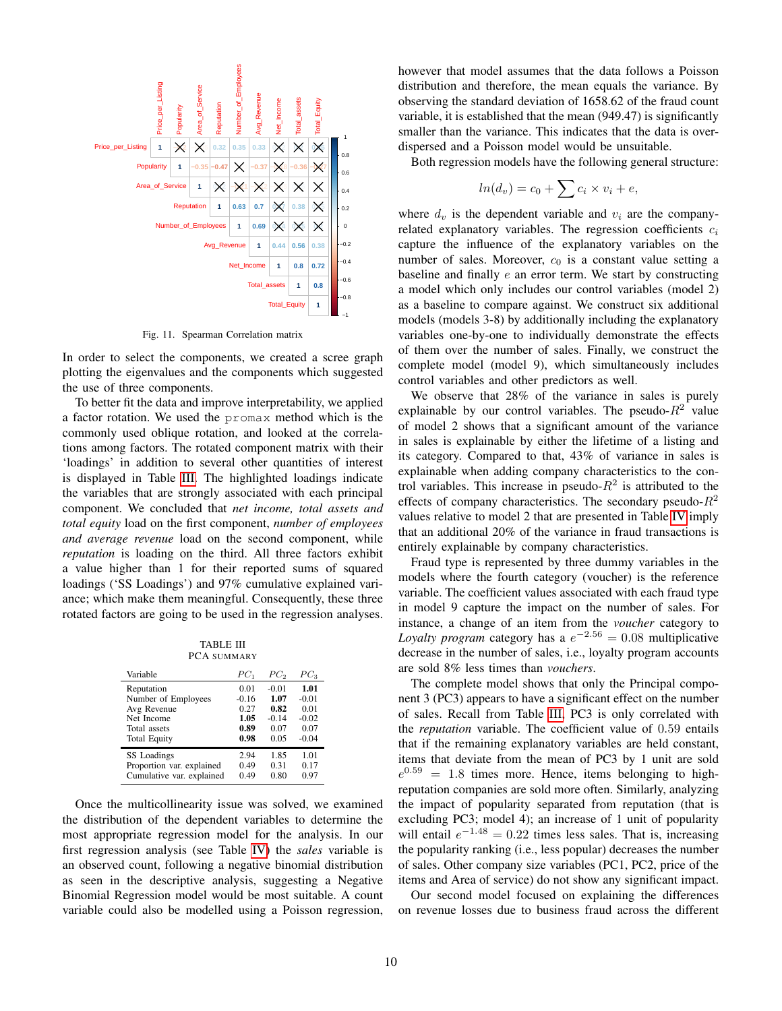

<span id="page-9-0"></span>Fig. 11. Spearman Correlation matrix

In order to select the components, we created a scree graph plotting the eigenvalues and the components which suggested the use of three components.

To better fit the data and improve interpretability, we applied a factor rotation. We used the promax method which is the commonly used oblique rotation, and looked at the correlations among factors. The rotated component matrix with their 'loadings' in addition to several other quantities of interest is displayed in Table [III.](#page-9-1) The highlighted loadings indicate the variables that are strongly associated with each principal component. We concluded that *net income, total assets and total equity* load on the first component, *number of employees and average revenue* load on the second component, while *reputation* is loading on the third. All three factors exhibit a value higher than 1 for their reported sums of squared loadings ('SS Loadings') and 97% cumulative explained variance; which make them meaningful. Consequently, these three rotated factors are going to be used in the regression analyses.

TABLE III PCA SUMMARY

<span id="page-9-1"></span>

| Variable                  | $PC_1$  | $PC_{2}$ | $PC_3$  |
|---------------------------|---------|----------|---------|
| Reputation                | 0.01    | $-0.01$  | 1.01    |
| Number of Employees       | $-0.16$ | 1.07     | $-0.01$ |
| Avg Revenue               | 0.27    | 0.82     | 0.01    |
| Net Income                | 1.05    | $-0.14$  | $-0.02$ |
| Total assets              | 0.89    | 0.07     | 0.07    |
| <b>Total Equity</b>       | 0.98    | 0.05     | $-0.04$ |
| SS Loadings               | 2.94    | 1.85     | 1.01    |
| Proportion var. explained | 0.49    | 0.31     | 0.17    |
| Cumulative var. explained | 0.49    | 0.80     | 0.97    |

Once the multicollinearity issue was solved, we examined the distribution of the dependent variables to determine the most appropriate regression model for the analysis. In our first regression analysis (see Table [IV\)](#page-10-0) the *sales* variable is an observed count, following a negative binomial distribution as seen in the descriptive analysis, suggesting a Negative Binomial Regression model would be most suitable. A count variable could also be modelled using a Poisson regression, however that model assumes that the data follows a Poisson distribution and therefore, the mean equals the variance. By observing the standard deviation of 1658.62 of the fraud count variable, it is established that the mean (949.47) is significantly smaller than the variance. This indicates that the data is overdispersed and a Poisson model would be unsuitable.

Both regression models have the following general structure:

$$
ln(d_v) = c_0 + \sum c_i \times v_i + e,
$$

where  $d_v$  is the dependent variable and  $v_i$  are the companyrelated explanatory variables. The regression coefficients  $c_i$ capture the influence of the explanatory variables on the number of sales. Moreover,  $c_0$  is a constant value setting a baseline and finally e an error term. We start by constructing a model which only includes our control variables (model 2) as a baseline to compare against. We construct six additional models (models 3-8) by additionally including the explanatory variables one-by-one to individually demonstrate the effects of them over the number of sales. Finally, we construct the complete model (model 9), which simultaneously includes control variables and other predictors as well.

We observe that 28% of the variance in sales is purely explainable by our control variables. The pseudo- $R^2$  value of model 2 shows that a significant amount of the variance in sales is explainable by either the lifetime of a listing and its category. Compared to that, 43% of variance in sales is explainable when adding company characteristics to the control variables. This increase in pseudo- $R^2$  is attributed to the effects of company characteristics. The secondary pseudo- $R^2$ values relative to model 2 that are presented in Table [IV](#page-10-0) imply that an additional 20% of the variance in fraud transactions is entirely explainable by company characteristics.

Fraud type is represented by three dummy variables in the models where the fourth category (voucher) is the reference variable. The coefficient values associated with each fraud type in model 9 capture the impact on the number of sales. For instance, a change of an item from the *voucher* category to *Loyalty program* category has a  $e^{-2.56} = 0.08$  multiplicative decrease in the number of sales, i.e., loyalty program accounts are sold 8% less times than *vouchers*.

The complete model shows that only the Principal component 3 (PC3) appears to have a significant effect on the number of sales. Recall from Table [III,](#page-9-1) PC3 is only correlated with the *reputation* variable. The coefficient value of 0.59 entails that if the remaining explanatory variables are held constant, items that deviate from the mean of PC3 by 1 unit are sold  $e^{0.59}$  = 1.8 times more. Hence, items belonging to highreputation companies are sold more often. Similarly, analyzing the impact of popularity separated from reputation (that is excluding PC3; model 4); an increase of 1 unit of popularity will entail  $e^{-1.48} = 0.22$  times less sales. That is, increasing the popularity ranking (i.e., less popular) decreases the number of sales. Other company size variables (PC1, PC2, price of the items and Area of service) do not show any significant impact.

Our second model focused on explaining the differences on revenue losses due to business fraud across the different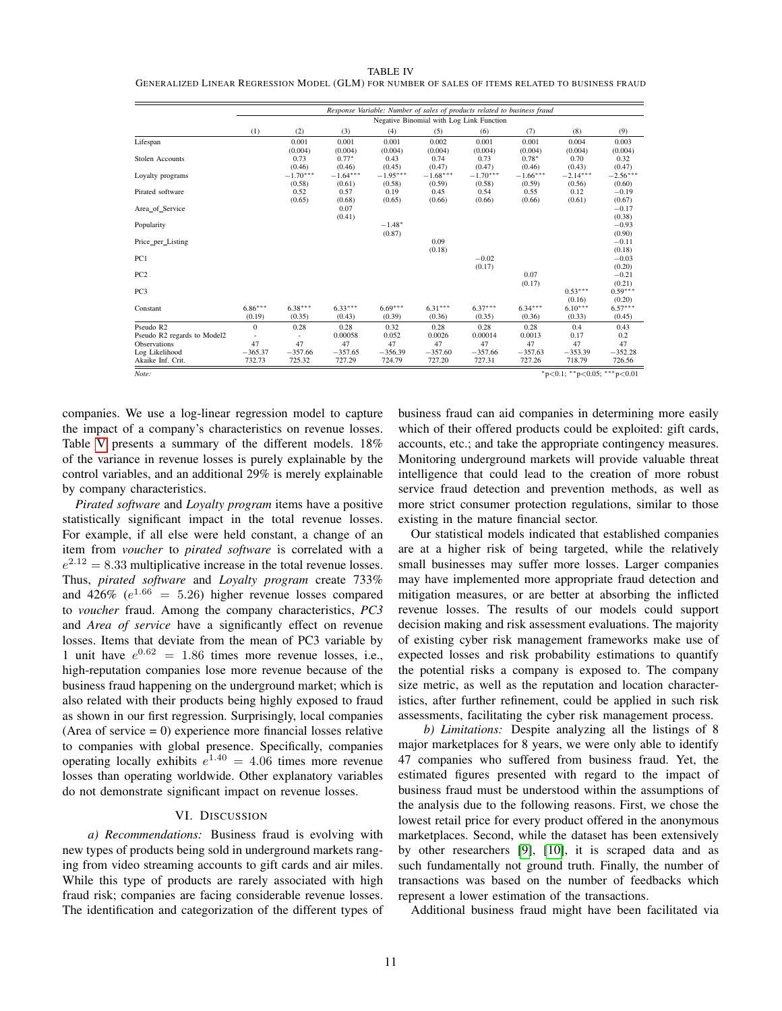#### TABLE IV

<span id="page-10-0"></span>GENERALIZED LINEAR REGRESSION MODEL (GLM) FOR NUMBER OF SALES OF ITEMS RELATED TO BUSINESS FRAUD

| Response Variable: Number of sales of products related to business fraud<br>Negative Binomial with Log Link Function<br>(1)<br>(2)<br>(3)<br>(5)<br>(6)<br>(8)<br>(9)<br>(4)<br>(7)<br>0.001<br>0.001<br>0.001<br>0.002<br>0.001<br>0.001<br>0.004<br>0.003<br>(0.004)<br>(0.004)<br>(0.004)<br>(0.004)<br>(0.004)<br>(0.004)<br>(0.004)<br>(0.004)<br>$0.78*$<br>0.73<br>$0.77*$<br>0.43<br>0.74<br>0.73<br>0.70<br>0.32<br>(0.47)<br>(0.46)<br>(0.46)<br>(0.45)<br>(0.47)<br>(0.47)<br>(0.46)<br>(0.43)<br>$-1.70***$<br>$-1.68***$<br>$-1.64***$<br>$-1.95***$<br>$-1.70***$<br>$-1.66***$<br>$-2.14***$<br>$-2.56***$<br>Loyalty programs<br>(0.58)<br>(0.61)<br>(0.58)<br>(0.59)<br>(0.58)<br>(0.59)<br>(0.56)<br>(0.60)<br>0.52<br>0.57<br>0.19<br>0.54<br>0.55<br>0.12<br>$-0.19$<br>0.45<br>(0.67)<br>(0.65)<br>(0.68)<br>(0.61)<br>(0.65)<br>(0.66)<br>(0.66)<br>(0.66)<br>0.07<br>$-0.17$<br>Area of Service<br>(0.41)<br>(0.38)<br>$-1.48*$<br>$-0.93$<br>Popularity<br>(0.87)<br>(0.90)<br>0.09<br>$-0.11$<br>Price_per_Listing<br>(0.18)<br>(0.18)<br>$-0.02$<br>$-0.03$<br>(0.17)<br>(0.20)<br>0.07<br>$-0.21$<br>(0.21)<br>(0.17)<br>$0.59***$<br>$0.53***$<br>(0.16)<br>(0.20)<br>$6.86***$<br>$6.10***$<br>$6.57***$<br>$6.38***$<br>$6.33***$<br>$6.69***$<br>$6.31***$<br>$6.37***$<br>$6.34***$<br>(0.19)<br>(0.35)<br>(0.43)<br>(0.39)<br>(0.36)<br>(0.35)<br>(0.36)<br>(0.45)<br>(0.33)<br>$\Omega$<br>0.28<br>0.32<br>0.28<br>0.4<br>0.28<br>0.28<br>0.28<br>0.43<br>0.052<br>0.0026<br>0.00014<br>0.0013<br>0.17<br>Pseudo R2 regards to Model2<br>0.00058<br>0.2<br>47<br>47<br>47<br>47<br>47<br>47<br>47<br>47<br>47<br>$-365.37$<br>$-357.66$<br>$-357.65$<br>$-357.60$<br>$-357.66$<br>$-357.63$<br>$-352.28$<br>$-356.39$<br>$-353.39$<br>732.73<br>718.79<br>726.56<br>Akaike Inf. Crit.<br>727.29<br>727.20<br>727.31<br>727.26 |                        |  |        |  |        |  |  |  |  |  |
|-----------------------------------------------------------------------------------------------------------------------------------------------------------------------------------------------------------------------------------------------------------------------------------------------------------------------------------------------------------------------------------------------------------------------------------------------------------------------------------------------------------------------------------------------------------------------------------------------------------------------------------------------------------------------------------------------------------------------------------------------------------------------------------------------------------------------------------------------------------------------------------------------------------------------------------------------------------------------------------------------------------------------------------------------------------------------------------------------------------------------------------------------------------------------------------------------------------------------------------------------------------------------------------------------------------------------------------------------------------------------------------------------------------------------------------------------------------------------------------------------------------------------------------------------------------------------------------------------------------------------------------------------------------------------------------------------------------------------------------------------------------------------------------------------------------------------------------------------------------------|------------------------|--|--------|--|--------|--|--|--|--|--|
|                                                                                                                                                                                                                                                                                                                                                                                                                                                                                                                                                                                                                                                                                                                                                                                                                                                                                                                                                                                                                                                                                                                                                                                                                                                                                                                                                                                                                                                                                                                                                                                                                                                                                                                                                                                                                                                                 |                        |  |        |  |        |  |  |  |  |  |
|                                                                                                                                                                                                                                                                                                                                                                                                                                                                                                                                                                                                                                                                                                                                                                                                                                                                                                                                                                                                                                                                                                                                                                                                                                                                                                                                                                                                                                                                                                                                                                                                                                                                                                                                                                                                                                                                 |                        |  |        |  |        |  |  |  |  |  |
|                                                                                                                                                                                                                                                                                                                                                                                                                                                                                                                                                                                                                                                                                                                                                                                                                                                                                                                                                                                                                                                                                                                                                                                                                                                                                                                                                                                                                                                                                                                                                                                                                                                                                                                                                                                                                                                                 |                        |  |        |  |        |  |  |  |  |  |
|                                                                                                                                                                                                                                                                                                                                                                                                                                                                                                                                                                                                                                                                                                                                                                                                                                                                                                                                                                                                                                                                                                                                                                                                                                                                                                                                                                                                                                                                                                                                                                                                                                                                                                                                                                                                                                                                 | Lifespan               |  |        |  |        |  |  |  |  |  |
|                                                                                                                                                                                                                                                                                                                                                                                                                                                                                                                                                                                                                                                                                                                                                                                                                                                                                                                                                                                                                                                                                                                                                                                                                                                                                                                                                                                                                                                                                                                                                                                                                                                                                                                                                                                                                                                                 |                        |  |        |  |        |  |  |  |  |  |
|                                                                                                                                                                                                                                                                                                                                                                                                                                                                                                                                                                                                                                                                                                                                                                                                                                                                                                                                                                                                                                                                                                                                                                                                                                                                                                                                                                                                                                                                                                                                                                                                                                                                                                                                                                                                                                                                 | <b>Stolen Accounts</b> |  |        |  |        |  |  |  |  |  |
|                                                                                                                                                                                                                                                                                                                                                                                                                                                                                                                                                                                                                                                                                                                                                                                                                                                                                                                                                                                                                                                                                                                                                                                                                                                                                                                                                                                                                                                                                                                                                                                                                                                                                                                                                                                                                                                                 |                        |  |        |  |        |  |  |  |  |  |
|                                                                                                                                                                                                                                                                                                                                                                                                                                                                                                                                                                                                                                                                                                                                                                                                                                                                                                                                                                                                                                                                                                                                                                                                                                                                                                                                                                                                                                                                                                                                                                                                                                                                                                                                                                                                                                                                 |                        |  |        |  |        |  |  |  |  |  |
|                                                                                                                                                                                                                                                                                                                                                                                                                                                                                                                                                                                                                                                                                                                                                                                                                                                                                                                                                                                                                                                                                                                                                                                                                                                                                                                                                                                                                                                                                                                                                                                                                                                                                                                                                                                                                                                                 |                        |  |        |  |        |  |  |  |  |  |
|                                                                                                                                                                                                                                                                                                                                                                                                                                                                                                                                                                                                                                                                                                                                                                                                                                                                                                                                                                                                                                                                                                                                                                                                                                                                                                                                                                                                                                                                                                                                                                                                                                                                                                                                                                                                                                                                 | Pirated software       |  |        |  |        |  |  |  |  |  |
|                                                                                                                                                                                                                                                                                                                                                                                                                                                                                                                                                                                                                                                                                                                                                                                                                                                                                                                                                                                                                                                                                                                                                                                                                                                                                                                                                                                                                                                                                                                                                                                                                                                                                                                                                                                                                                                                 |                        |  |        |  |        |  |  |  |  |  |
|                                                                                                                                                                                                                                                                                                                                                                                                                                                                                                                                                                                                                                                                                                                                                                                                                                                                                                                                                                                                                                                                                                                                                                                                                                                                                                                                                                                                                                                                                                                                                                                                                                                                                                                                                                                                                                                                 |                        |  |        |  |        |  |  |  |  |  |
|                                                                                                                                                                                                                                                                                                                                                                                                                                                                                                                                                                                                                                                                                                                                                                                                                                                                                                                                                                                                                                                                                                                                                                                                                                                                                                                                                                                                                                                                                                                                                                                                                                                                                                                                                                                                                                                                 |                        |  |        |  |        |  |  |  |  |  |
|                                                                                                                                                                                                                                                                                                                                                                                                                                                                                                                                                                                                                                                                                                                                                                                                                                                                                                                                                                                                                                                                                                                                                                                                                                                                                                                                                                                                                                                                                                                                                                                                                                                                                                                                                                                                                                                                 |                        |  |        |  |        |  |  |  |  |  |
|                                                                                                                                                                                                                                                                                                                                                                                                                                                                                                                                                                                                                                                                                                                                                                                                                                                                                                                                                                                                                                                                                                                                                                                                                                                                                                                                                                                                                                                                                                                                                                                                                                                                                                                                                                                                                                                                 |                        |  |        |  |        |  |  |  |  |  |
|                                                                                                                                                                                                                                                                                                                                                                                                                                                                                                                                                                                                                                                                                                                                                                                                                                                                                                                                                                                                                                                                                                                                                                                                                                                                                                                                                                                                                                                                                                                                                                                                                                                                                                                                                                                                                                                                 |                        |  |        |  |        |  |  |  |  |  |
|                                                                                                                                                                                                                                                                                                                                                                                                                                                                                                                                                                                                                                                                                                                                                                                                                                                                                                                                                                                                                                                                                                                                                                                                                                                                                                                                                                                                                                                                                                                                                                                                                                                                                                                                                                                                                                                                 |                        |  |        |  |        |  |  |  |  |  |
|                                                                                                                                                                                                                                                                                                                                                                                                                                                                                                                                                                                                                                                                                                                                                                                                                                                                                                                                                                                                                                                                                                                                                                                                                                                                                                                                                                                                                                                                                                                                                                                                                                                                                                                                                                                                                                                                 | PC1                    |  |        |  |        |  |  |  |  |  |
|                                                                                                                                                                                                                                                                                                                                                                                                                                                                                                                                                                                                                                                                                                                                                                                                                                                                                                                                                                                                                                                                                                                                                                                                                                                                                                                                                                                                                                                                                                                                                                                                                                                                                                                                                                                                                                                                 |                        |  |        |  |        |  |  |  |  |  |
|                                                                                                                                                                                                                                                                                                                                                                                                                                                                                                                                                                                                                                                                                                                                                                                                                                                                                                                                                                                                                                                                                                                                                                                                                                                                                                                                                                                                                                                                                                                                                                                                                                                                                                                                                                                                                                                                 | PC <sub>2</sub>        |  |        |  |        |  |  |  |  |  |
|                                                                                                                                                                                                                                                                                                                                                                                                                                                                                                                                                                                                                                                                                                                                                                                                                                                                                                                                                                                                                                                                                                                                                                                                                                                                                                                                                                                                                                                                                                                                                                                                                                                                                                                                                                                                                                                                 |                        |  |        |  |        |  |  |  |  |  |
|                                                                                                                                                                                                                                                                                                                                                                                                                                                                                                                                                                                                                                                                                                                                                                                                                                                                                                                                                                                                                                                                                                                                                                                                                                                                                                                                                                                                                                                                                                                                                                                                                                                                                                                                                                                                                                                                 | PC <sub>3</sub>        |  |        |  |        |  |  |  |  |  |
|                                                                                                                                                                                                                                                                                                                                                                                                                                                                                                                                                                                                                                                                                                                                                                                                                                                                                                                                                                                                                                                                                                                                                                                                                                                                                                                                                                                                                                                                                                                                                                                                                                                                                                                                                                                                                                                                 |                        |  |        |  |        |  |  |  |  |  |
|                                                                                                                                                                                                                                                                                                                                                                                                                                                                                                                                                                                                                                                                                                                                                                                                                                                                                                                                                                                                                                                                                                                                                                                                                                                                                                                                                                                                                                                                                                                                                                                                                                                                                                                                                                                                                                                                 | Constant               |  |        |  |        |  |  |  |  |  |
|                                                                                                                                                                                                                                                                                                                                                                                                                                                                                                                                                                                                                                                                                                                                                                                                                                                                                                                                                                                                                                                                                                                                                                                                                                                                                                                                                                                                                                                                                                                                                                                                                                                                                                                                                                                                                                                                 |                        |  |        |  |        |  |  |  |  |  |
|                                                                                                                                                                                                                                                                                                                                                                                                                                                                                                                                                                                                                                                                                                                                                                                                                                                                                                                                                                                                                                                                                                                                                                                                                                                                                                                                                                                                                                                                                                                                                                                                                                                                                                                                                                                                                                                                 | Pseudo R2              |  |        |  |        |  |  |  |  |  |
|                                                                                                                                                                                                                                                                                                                                                                                                                                                                                                                                                                                                                                                                                                                                                                                                                                                                                                                                                                                                                                                                                                                                                                                                                                                                                                                                                                                                                                                                                                                                                                                                                                                                                                                                                                                                                                                                 |                        |  |        |  |        |  |  |  |  |  |
|                                                                                                                                                                                                                                                                                                                                                                                                                                                                                                                                                                                                                                                                                                                                                                                                                                                                                                                                                                                                                                                                                                                                                                                                                                                                                                                                                                                                                                                                                                                                                                                                                                                                                                                                                                                                                                                                 | Observations           |  |        |  |        |  |  |  |  |  |
|                                                                                                                                                                                                                                                                                                                                                                                                                                                                                                                                                                                                                                                                                                                                                                                                                                                                                                                                                                                                                                                                                                                                                                                                                                                                                                                                                                                                                                                                                                                                                                                                                                                                                                                                                                                                                                                                 | Log Likelihood         |  |        |  |        |  |  |  |  |  |
|                                                                                                                                                                                                                                                                                                                                                                                                                                                                                                                                                                                                                                                                                                                                                                                                                                                                                                                                                                                                                                                                                                                                                                                                                                                                                                                                                                                                                                                                                                                                                                                                                                                                                                                                                                                                                                                                 |                        |  | 725.32 |  | 724.79 |  |  |  |  |  |
| *p<0.1; **p<0.05; ***p<0.01                                                                                                                                                                                                                                                                                                                                                                                                                                                                                                                                                                                                                                                                                                                                                                                                                                                                                                                                                                                                                                                                                                                                                                                                                                                                                                                                                                                                                                                                                                                                                                                                                                                                                                                                                                                                                                     | Note:                  |  |        |  |        |  |  |  |  |  |

companies. We use a log-linear regression model to capture the impact of a company's characteristics on revenue losses. Table [V](#page-11-0) presents a summary of the different models. 18% of the variance in revenue losses is purely explainable by the control variables, and an additional 29% is merely explainable by company characteristics.

*Pirated software* and *Loyalty program* items have a positive statistically significant impact in the total revenue losses. For example, if all else were held constant, a change of an item from *voucher* to *pirated software* is correlated with a  $e^{2.12} = 8.33$  multiplicative increase in the total revenue losses. Thus, *pirated software* and *Loyalty program* create 733% and 426% ( $e^{1.66}$  = 5.26) higher revenue losses compared to *voucher* fraud. Among the company characteristics, *PC3* and *Area of service* have a significantly effect on revenue losses. Items that deviate from the mean of PC3 variable by 1 unit have  $e^{0.62} = 1.86$  times more revenue losses, i.e., high-reputation companies lose more revenue because of the business fraud happening on the underground market; which is also related with their products being highly exposed to fraud as shown in our first regression. Surprisingly, local companies (Area of service  $= 0$ ) experience more financial losses relative to companies with global presence. Specifically, companies operating locally exhibits  $e^{1.40} = 4.06$  times more revenue losses than operating worldwide. Other explanatory variables do not demonstrate significant impact on revenue losses.

## VI. DISCUSSION

*a) Recommendations:* Business fraud is evolving with new types of products being sold in underground markets ranging from video streaming accounts to gift cards and air miles. While this type of products are rarely associated with high fraud risk; companies are facing considerable revenue losses. The identification and categorization of the different types of business fraud can aid companies in determining more easily which of their offered products could be exploited: gift cards, accounts, etc.; and take the appropriate contingency measures. Monitoring underground markets will provide valuable threat intelligence that could lead to the creation of more robust service fraud detection and prevention methods, as well as more strict consumer protection regulations, similar to those existing in the mature financial sector.

Our statistical models indicated that established companies are at a higher risk of being targeted, while the relatively small businesses may suffer more losses. Larger companies may have implemented more appropriate fraud detection and mitigation measures, or are better at absorbing the inflicted revenue losses. The results of our models could support decision making and risk assessment evaluations. The majority of existing cyber risk management frameworks make use of expected losses and risk probability estimations to quantify the potential risks a company is exposed to. The company size metric, as well as the reputation and location characteristics, after further refinement, could be applied in such risk assessments, facilitating the cyber risk management process.

*b) Limitations:* Despite analyzing all the listings of 8 major marketplaces for 8 years, we were only able to identify 47 companies who suffered from business fraud. Yet, the estimated figures presented with regard to the impact of business fraud must be understood within the assumptions of the analysis due to the following reasons. First, we chose the lowest retail price for every product offered in the anonymous marketplaces. Second, while the dataset has been extensively by other researchers [\[9\]](#page-12-6), [\[10\]](#page-12-7), it is scraped data and as such fundamentally not ground truth. Finally, the number of transactions was based on the number of feedbacks which represent a lower estimation of the transactions.

Additional business fraud might have been facilitated via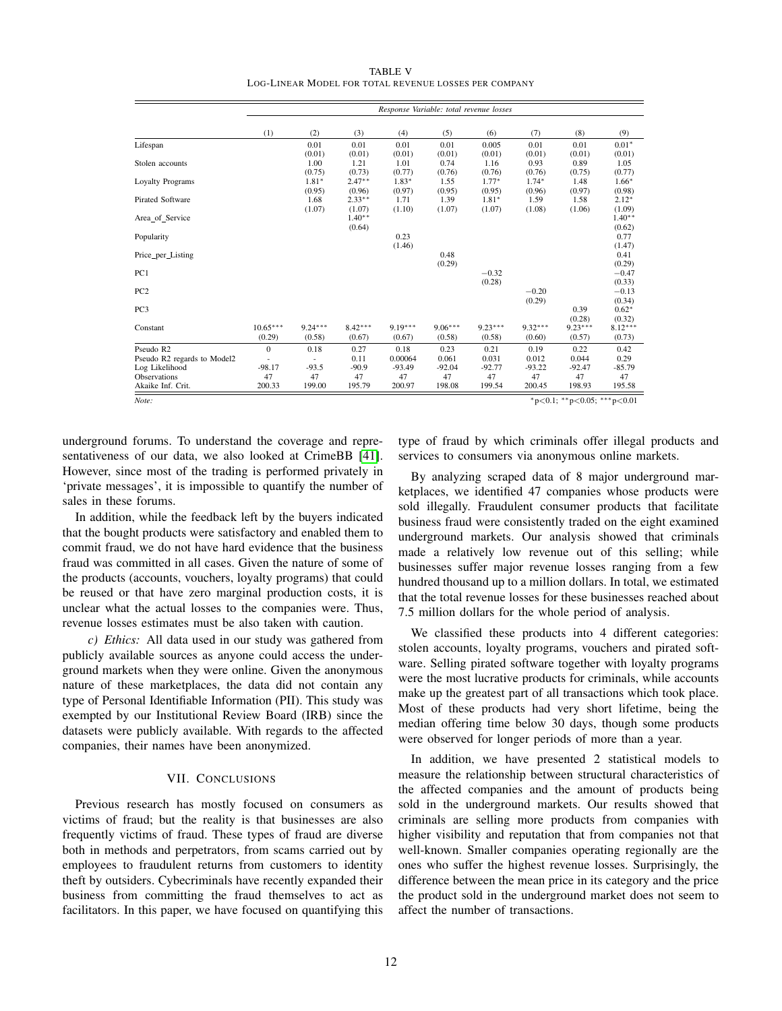TABLE V LOG-LINEAR MODEL FOR TOTAL REVENUE LOSSES PER COMPANY

<span id="page-11-0"></span>

|                                               | Response Variable: total revenue losses |                     |                     |                     |                     |                     |                     |                               |                               |
|-----------------------------------------------|-----------------------------------------|---------------------|---------------------|---------------------|---------------------|---------------------|---------------------|-------------------------------|-------------------------------|
|                                               | (1)                                     | (2)                 | (3)                 | (4)                 | (5)                 | (6)                 | (7)                 | (8)                           | (9)                           |
| Lifespan                                      |                                         | 0.01<br>(0.01)      | 0.01<br>(0.01)      | 0.01<br>(0.01)      | 0.01<br>(0.01)      | 0.005<br>(0.01)     | 0.01<br>(0.01)      | 0.01<br>(0.01)                | $0.01*$<br>(0.01)             |
| Stolen accounts                               |                                         | 1.00<br>(0.75)      | 1.21<br>(0.73)      | 1.01<br>(0.77)      | 0.74<br>(0.76)      | 1.16<br>(0.76)      | 0.93<br>(0.76)      | 0.89<br>(0.75)                | 1.05<br>(0.77)                |
| <b>Loyalty Programs</b>                       |                                         | $1.81*$<br>(0.95)   | $2.47**$<br>(0.96)  | $1.83*$<br>(0.97)   | 1.55<br>(0.95)      | $1.77*$<br>(0.95)   | $1.74*$<br>(0.96)   | 1.48<br>(0.97)                | $1.66*$<br>(0.98)             |
| <b>Pirated Software</b>                       |                                         | 1.68<br>(1.07)      | $2.33**$<br>(1.07)  | 1.71<br>(1.10)      | 1.39<br>(1.07)      | $1.81*$<br>(1.07)   | 1.59<br>(1.08)      | 1.58<br>(1.06)                | $2.12*$<br>(1.09)             |
| Area of Service                               |                                         |                     | $1.40**$<br>(0.64)  |                     |                     |                     |                     |                               | $1.40**$<br>(0.62)            |
| Popularity                                    |                                         |                     |                     | 0.23                |                     |                     |                     |                               | 0.77                          |
| Price_per_Listing                             |                                         |                     |                     | (1.46)              | 0.48                |                     |                     |                               | (1.47)<br>0.41                |
| PC1                                           |                                         |                     |                     |                     | (0.29)              | $-0.32$             |                     |                               | (0.29)<br>$-0.47$             |
| PC <sub>2</sub>                               |                                         |                     |                     |                     |                     | (0.28)              | $-0.20$             |                               | (0.33)<br>$-0.13$             |
| PC <sub>3</sub>                               |                                         |                     |                     |                     |                     |                     | (0.29)              | 0.39                          | (0.34)<br>$0.62*$             |
| Constant                                      | $10.65***$<br>(0.29)                    | $9.24***$<br>(0.58) | $8.42***$<br>(0.67) | $9.19***$<br>(0.67) | $9.06***$<br>(0.58) | $9.23***$<br>(0.58) | $9.32***$<br>(0.60) | (0.28)<br>$9.23***$<br>(0.57) | (0.32)<br>$8.12***$<br>(0.73) |
| Pseudo R2                                     | $\Omega$                                | 0.18                | 0.27                | 0.18                | 0.23                | 0.21                | 0.19                | 0.22                          | 0.42                          |
| Pseudo R2 regards to Model2<br>Log Likelihood | $-98.17$                                | $-93.5$             | 0.11<br>$-90.9$     | 0.00064<br>$-93.49$ | 0.061<br>$-92.04$   | 0.031<br>$-92.77$   | 0.012<br>$-93.22$   | 0.044<br>$-92.47$             | 0.29<br>$-85.79$              |
| Observations<br>Akaike Inf. Crit.             | 47<br>200.33                            | 47<br>199.00        | 47<br>195.79        | 47<br>200.97        | 47<br>198.08        | 47<br>199.54        | 47<br>200.45        | 47<br>198.93                  | 47<br>195.58                  |
| Note:                                         | *p<0.1; **p<0.05; ***p<0.01             |                     |                     |                     |                     |                     |                     |                               |                               |

underground forums. To understand the coverage and representativeness of our data, we also looked at CrimeBB [\[41\]](#page-13-3). However, since most of the trading is performed privately in 'private messages', it is impossible to quantify the number of sales in these forums.

In addition, while the feedback left by the buyers indicated that the bought products were satisfactory and enabled them to commit fraud, we do not have hard evidence that the business fraud was committed in all cases. Given the nature of some of the products (accounts, vouchers, loyalty programs) that could be reused or that have zero marginal production costs, it is unclear what the actual losses to the companies were. Thus, revenue losses estimates must be also taken with caution.

*c) Ethics:* All data used in our study was gathered from publicly available sources as anyone could access the underground markets when they were online. Given the anonymous nature of these marketplaces, the data did not contain any type of Personal Identifiable Information (PII). This study was exempted by our Institutional Review Board (IRB) since the datasets were publicly available. With regards to the affected companies, their names have been anonymized.

# VII. CONCLUSIONS

Previous research has mostly focused on consumers as victims of fraud; but the reality is that businesses are also frequently victims of fraud. These types of fraud are diverse both in methods and perpetrators, from scams carried out by employees to fraudulent returns from customers to identity theft by outsiders. Cybecriminals have recently expanded their business from committing the fraud themselves to act as facilitators. In this paper, we have focused on quantifying this

type of fraud by which criminals offer illegal products and services to consumers via anonymous online markets.

By analyzing scraped data of 8 major underground marketplaces, we identified 47 companies whose products were sold illegally. Fraudulent consumer products that facilitate business fraud were consistently traded on the eight examined underground markets. Our analysis showed that criminals made a relatively low revenue out of this selling; while businesses suffer major revenue losses ranging from a few hundred thousand up to a million dollars. In total, we estimated that the total revenue losses for these businesses reached about 7.5 million dollars for the whole period of analysis.

We classified these products into 4 different categories: stolen accounts, loyalty programs, vouchers and pirated software. Selling pirated software together with loyalty programs were the most lucrative products for criminals, while accounts make up the greatest part of all transactions which took place. Most of these products had very short lifetime, being the median offering time below 30 days, though some products were observed for longer periods of more than a year.

In addition, we have presented 2 statistical models to measure the relationship between structural characteristics of the affected companies and the amount of products being sold in the underground markets. Our results showed that criminals are selling more products from companies with higher visibility and reputation that from companies not that well-known. Smaller companies operating regionally are the ones who suffer the highest revenue losses. Surprisingly, the difference between the mean price in its category and the price the product sold in the underground market does not seem to affect the number of transactions.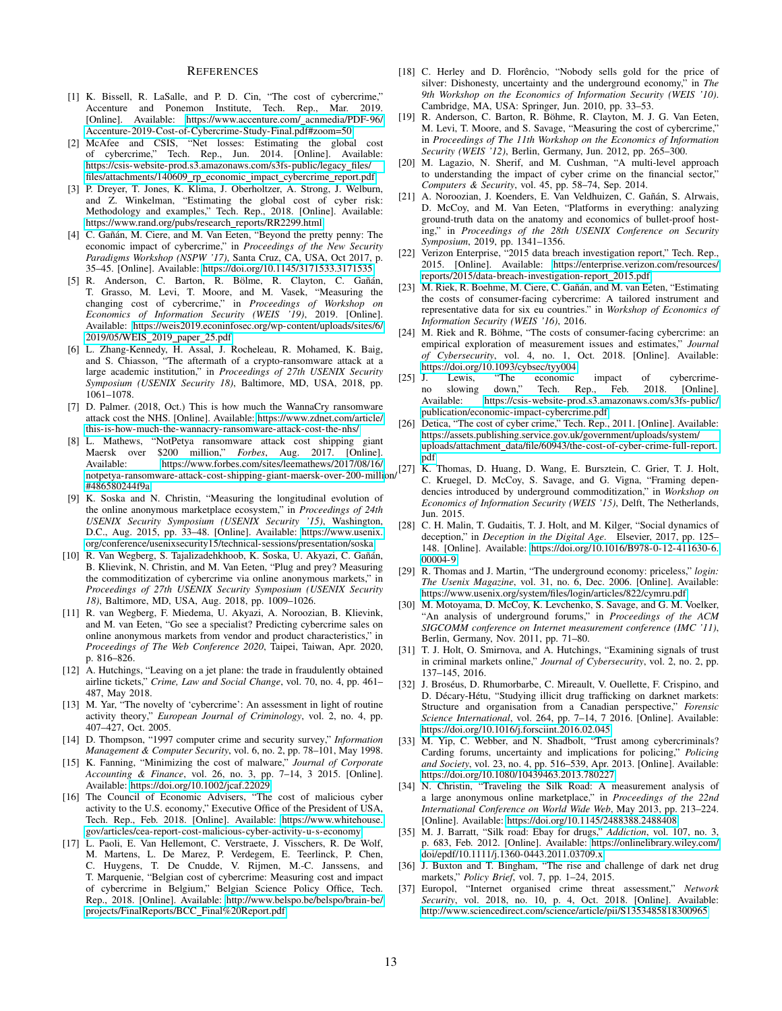#### **REFERENCES**

- <span id="page-12-0"></span>[1] K. Bissell, R. LaSalle, and P. D. Cin, "The cost of cybercrime," Accenture and Ponemon Institute, Tech. Rep., Mar. 2019. [Online]. Available: [https://www.accenture.com/](https://www.accenture.com/_acnmedia/PDF-96/Accenture-2019-Cost-of-Cybercrime-Study-Final.pdf#zoom=50) acnmedia/PDF-96/ [Accenture-2019-Cost-of-Cybercrime-Study-Final.pdf#zoom=50](https://www.accenture.com/_acnmedia/PDF-96/Accenture-2019-Cost-of-Cybercrime-Study-Final.pdf#zoom=50)
- [2] McAfee and CSIS, "Net losses: Estimating the global cost of cybercrime," Tech. Rep., Jun. 2014. [Online]. Available: [https://csis-website-prod.s3.amazonaws.com/s3fs-public/legacy](https://csis-website-prod.s3.amazonaws.com/s3fs-public/legacy_files/files/attachments/140609_rp_economic_impact_cybercrime_report.pdf) files/ [files/attachments/140609](https://csis-website-prod.s3.amazonaws.com/s3fs-public/legacy_files/files/attachments/140609_rp_economic_impact_cybercrime_report.pdf)\_rp\_economic\_impact\_cybercrime\_report.pdf
- <span id="page-12-1"></span>[3] P. Dreyer, T. Jones, K. Klima, J. Oberholtzer, A. Strong, J. Welburn, and Z. Winkelman, "Estimating the global cost of cyber risk: Methodology and examples," Tech. Rep., 2018. [Online]. Available: [https://www.rand.org/pubs/research](https://www.rand.org/pubs/research_reports/RR2299.html) reports/RR2299.html
- <span id="page-12-2"></span>[4] C. Gañán, M. Ciere, and M. Van Eeten, "Beyond the pretty penny: The economic impact of cybercrime," in *Proceedings of the New Security Paradigms Workshop (NSPW '17)*, Santa Cruz, CA, USA, Oct 2017, p. 35–45. [Online]. Available:<https://doi.org/10.1145/3171533.3171535>
- <span id="page-12-3"></span>[5] R. Anderson, C. Barton, R. Bölme, R. Clayton, C. Gañán, T. Grasso, M. Levi, T. Moore, and M. Vasek, "Measuring the changing cost of cybercrime," in *Proceedings of Workshop on Economics of Information Security (WEIS '19)*, 2019. [Online]. Available: [https://weis2019.econinfosec.org/wp-content/uploads/sites/6/](https://weis2019.econinfosec.org/wp-content/uploads/sites/6/2019/05/WEIS_2019_paper_25.pdf) [2019/05/WEIS](https://weis2019.econinfosec.org/wp-content/uploads/sites/6/2019/05/WEIS_2019_paper_25.pdf) 2019 paper 25.pdf
- <span id="page-12-4"></span>[6] L. Zhang-Kennedy, H. Assal, J. Rocheleau, R. Mohamed, K. Baig, and S. Chiasson, "The aftermath of a crypto-ransomware attack at a large academic institution," in *Proceedings of 27th USENIX Security Symposium (USENIX Security 18)*, Baltimore, MD, USA, 2018, pp. 1061–1078.
- [7] D. Palmer. (2018, Oct.) This is how much the WannaCry ransomware attack cost the NHS. [Online]. Available: [https://www.zdnet.com/article/](https://www.zdnet.com/article/this-is-how-much-the-wannacry-ransomware-attack-cost-the-nhs/) [this-is-how-much-the-wannacry-ransomware-attack-cost-the-nhs/](https://www.zdnet.com/article/this-is-how-much-the-wannacry-ransomware-attack-cost-the-nhs/)
- <span id="page-12-5"></span>[8] L. Mathews, "NotPetya ransomware attack cost shipping giant Maersk over \$200 million," *Forbes*, Aug. 2017. [Online]. Available: [https://www.forbes.com/sites/leemathews/2017/08/16/](https://www.forbes.com/sites/leemathews/2017/08/16/notpetya-ransomware-attack-cost-shipping-giant-maersk-over-200-million/#486580244f9a) [#486580244f9a](https://www.forbes.com/sites/leemathews/2017/08/16/notpetya-ransomware-attack-cost-shipping-giant-maersk-over-200-million/#486580244f9a)
- <span id="page-12-6"></span>[9] K. Soska and N. Christin, "Measuring the longitudinal evolution of the online anonymous marketplace ecosystem," in *Proceedings of 24th USENIX Security Symposium (USENIX Security '15)*, Washington, D.C., Aug. 2015, pp. 33–48. [Online]. Available: [https://www.usenix.](https://www.usenix.org/conference/usenixsecurity15/technical-sessions/presentation/soska) [org/conference/usenixsecurity15/technical-sessions/presentation/soska](https://www.usenix.org/conference/usenixsecurity15/technical-sessions/presentation/soska)
- <span id="page-12-7"></span>[10] R. Van Wegberg, S. Tajalizadehkhoob, K. Soska, U. Akyazi, C. Gañán, B. Klievink, N. Christin, and M. Van Eeten, "Plug and prey? Measuring the commoditization of cybercrime via online anonymous markets," in *Proceedings of 27th USENIX Security Symposium (USENIX Security 18)*, Baltimore, MD, USA, Aug. 2018, pp. 1009–1026.
- <span id="page-12-8"></span>[11] R. van Wegberg, F. Miedema, U. Akyazi, A. Noroozian, B. Klievink, and M. van Eeten, "Go see a specialist? Predicting cybercrime sales on online anonymous markets from vendor and product characteristics," in *Proceedings of The Web Conference 2020*, Taipei, Taiwan, Apr. 2020, p. 816–826.
- <span id="page-12-9"></span>[12] A. Hutchings, "Leaving on a jet plane: the trade in fraudulently obtained airline tickets," *Crime, Law and Social Change*, vol. 70, no. 4, pp. 461– 487, May 2018.
- <span id="page-12-10"></span>[13] M. Yar, "The novelty of 'cybercrime': An assessment in light of routine activity theory," *European Journal of Criminology*, vol. 2, no. 4, pp. 407–427, Oct. 2005.
- <span id="page-12-11"></span>[14] D. Thompson, "1997 computer crime and security survey," *Information Management & Computer Security*, vol. 6, no. 2, pp. 78–101, May 1998.
- <span id="page-12-12"></span>[15] K. Fanning, "Minimizing the cost of malware," *Journal of Corporate Accounting & Finance*, vol. 26, no. 3, pp. 7–14, 3 2015. [Online]. Available:<https://doi.org/10.1002/jcaf.22029>
- <span id="page-12-31"></span><span id="page-12-13"></span>[16] The Council of Economic Advisers, "The cost of malicious cyber activity to the U.S. economy," Executive Office of the President of USA, Tech. Rep., Feb. 2018. [Online]. Available: [https://www.whitehouse.](https://www.whitehouse.gov/articles/cea-report-cost-malicious-cyber-activity-u-s-economy) [gov/articles/cea-report-cost-malicious-cyber-activity-u-s-economy](https://www.whitehouse.gov/articles/cea-report-cost-malicious-cyber-activity-u-s-economy)
- <span id="page-12-34"></span><span id="page-12-33"></span><span id="page-12-32"></span><span id="page-12-14"></span>[17] L. Paoli, E. Van Hellemont, C. Verstraete, J. Visschers, R. De Wolf, M. Martens, L. De Marez, P. Verdegem, E. Teerlinck, P. Chen, C. Huygens, T. De Cnudde, V. Rijmen, M.-C. Janssens, and T. Marquenie, "Belgian cost of cybercrime: Measuring cost and impact of cybercrime in Belgium," Belgian Science Policy Office, Tech. Rep., 2018. [Online]. Available: [http://www.belspo.be/belspo/brain-be/](http://www.belspo.be/belspo/brain-be/projects/FinalReports/BCC_Final%20Report.pdf) [projects/FinalReports/BCC](http://www.belspo.be/belspo/brain-be/projects/FinalReports/BCC_Final%20Report.pdf) Final%20Report.pdf
- <span id="page-12-15"></span>[18] C. Herley and D. Florêncio, "Nobody sells gold for the price of silver: Dishonesty, uncertainty and the underground economy," in *The 9th Workshop on the Economics of Information Security (WEIS '10)*. Cambridge, MA, USA: Springer, Jun. 2010, pp. 33–53.
- <span id="page-12-16"></span>[19] R. Anderson, C. Barton, R. Böhme, R. Clayton, M. J. G. Van Eeten, M. Levi, T. Moore, and S. Savage, "Measuring the cost of cybercrime," in *Proceedings of The 11th Workshop on the Economics of Information Security (WEIS '12)*, Berlin, Germany, Jun. 2012, pp. 265–300.
- <span id="page-12-17"></span>[20] M. Lagazio, N. Sherif, and M. Cushman, "A multi-level approach to understanding the impact of cyber crime on the financial sector," *Computers & Security*, vol. 45, pp. 58–74, Sep. 2014.
- <span id="page-12-18"></span>[21] A. Noroozian, J. Koenders, E. Van Veldhuizen, C. Gañán, S. Alrwais, D. McCoy, and M. Van Eeten, "Platforms in everything: analyzing ground-truth data on the anatomy and economics of bullet-proof hosting," in *Proceedings of the 28th USENIX Conference on Security Symposium*, 2019, pp. 1341–1356.
- <span id="page-12-19"></span>[22] Verizon Enterprise, "2015 data breach investigation report," Tech. Rep., 2015. [Online]. Available: [https://enterprise.verizon.com/resources/](https://enterprise.verizon.com/resources/reports/2015/data-breach-investigation-report_2015.pdf) [reports/2015/data-breach-investigation-report](https://enterprise.verizon.com/resources/reports/2015/data-breach-investigation-report_2015.pdf) 2015.pdf
- <span id="page-12-20"></span>[23] M. Riek, R. Boehme, M. Ciere, C. Gañán, and M. van Eeten, "Estimating the costs of consumer-facing cybercrime: A tailored instrument and representative data for six eu countries." in *Workshop of Economics of Information Security (WEIS '16)*, 2016.
- <span id="page-12-21"></span>[24] M. Riek and R. Böhme, "The costs of consumer-facing cybercrime: an empirical exploration of measurement issues and estimates," *Journal of Cybersecurity*, vol. 4, no. 1, Oct. 2018. [Online]. Available: <https://doi.org/10.1093/cybsec/tyy004><br>[25] J. Lewis, "The economic
- <span id="page-12-22"></span>impact of cybercrimeno slowing down," Tech. Rep., Feb. 2018. [Online]. Available: [https://csis-website-prod.s3.amazonaws.com/s3fs-public/](https://csis-website-prod.s3.amazonaws.com/s3fs-public/publication/economic-impact-cybercrime.pdf) [publication/economic-impact-cybercrime.pdf](https://csis-website-prod.s3.amazonaws.com/s3fs-public/publication/economic-impact-cybercrime.pdf)
- <span id="page-12-30"></span><span id="page-12-29"></span><span id="page-12-28"></span><span id="page-12-27"></span><span id="page-12-26"></span><span id="page-12-25"></span><span id="page-12-24"></span><span id="page-12-23"></span>[26] Detica, "The cost of cyber crime," Tech. Rep., 2011. [Online]. Available: [https://assets.publishing.service.gov.uk/government/uploads/system/](https://assets.publishing.service.gov.uk/government/uploads/system/uploads/attachment_data/file/60943/the-cost-of-cyber-crime-full-report.pdf) uploads/attachment [data/file/60943/the-cost-of-cyber-crime-full-report.](https://assets.publishing.service.gov.uk/government/uploads/system/uploads/attachment_data/file/60943/the-cost-of-cyber-crime-full-report.pdf) [pdf](https://assets.publishing.service.gov.uk/government/uploads/system/uploads/attachment_data/file/60943/the-cost-of-cyber-crime-full-report.pdf)
- Avanabic. The massive wave to be seen all the structure of the structure of the mass D. Huang, D. Wang, E. Bursztein, C. Grier, T. J. Holt, noted that a structure attack-cost-shipping-giant-maersk-over-200-million/  $\begin{bmatrix}$ C. Kruegel, D. McCoy, S. Savage, and G. Vigna, "Framing depen-C. Kruegel, D. McCoy, S. Savage, and G. Vigna, "Framing dependencies introduced by underground commoditization," in *Workshop on Economics of Information Security (WEIS '15)*, Delft, The Netherlands, Jun. 2015.
	- [28] C. H. Malin, T. Gudaitis, T. J. Holt, and M. Kilger, "Social dynamics of deception," in *Deception in the Digital Age*. Elsevier, 2017, pp. 125– 148. [Online]. Available: [https://doi.org/10.1016/B978-0-12-411630-6.](https://doi.org/10.1016/B978-0-12-411630-6.00004-9) [00004-9](https://doi.org/10.1016/B978-0-12-411630-6.00004-9)
	- [29] R. Thomas and J. Martin, "The underground economy: priceless," *login: The Usenix Magazine*, vol. 31, no. 6, Dec. 2006. [Online]. Available: <https://www.usenix.org/system/files/login/articles/822/cymru.pdf>
	- [30] M. Motoyama, D. McCoy, K. Levchenko, S. Savage, and G. M. Voelker, "An analysis of underground forums," in *Proceedings of the ACM SIGCOMM conference on Internet measurement conference (IMC '11)*, Berlin, Germany, Nov. 2011, pp. 71–80.
	- [31] T. J. Holt, O. Smirnova, and A. Hutchings, "Examining signals of trust in criminal markets online," *Journal of Cybersecurity*, vol. 2, no. 2, pp. 137–145, 2016.
	- [32] J. Broséus, D. Rhumorbarbe, C. Mireault, V. Ouellette, F. Crispino, and D. Décary-Hétu, "Studying illicit drug trafficking on darknet markets: Structure and organisation from a Canadian perspective," *Forensic Science International*, vol. 264, pp. 7–14, 7 2016. [Online]. Available: <https://doi.org/10.1016/j.forsciint.2016.02.045>
	- [33] M. Yip, C. Webber, and N. Shadbolt, "Trust among cybercriminals? Carding forums, uncertainty and implications for policing," *Policing and Society*, vol. 23, no. 4, pp. 516–539, Apr. 2013. [Online]. Available: <https://doi.org/10.1080/10439463.2013.780227>
	- [34] N. Christin, "Traveling the Silk Road: A measurement analysis of a large anonymous online marketplace," in *Proceedings of the 22nd International Conference on World Wide Web*, May 2013, pp. 213–224. [Online]. Available:<https://doi.org/10.1145/2488388.2488408>
	- [35] M. J. Barratt, "Silk road: Ebay for drugs," *Addiction*, vol. 107, no. 3, p. 683, Feb. 2012. [Online]. Available: [https://onlinelibrary.wiley.com/](https://onlinelibrary.wiley.com/doi/epdf/10.1111/j.1360-0443.2011.03709.x) [doi/epdf/10.1111/j.1360-0443.2011.03709.x](https://onlinelibrary.wiley.com/doi/epdf/10.1111/j.1360-0443.2011.03709.x)
	- [36] J. Buxton and T. Bingham, "The rise and challenge of dark net drug markets," *Policy Brief*, vol. 7, pp. 1–24, 2015.
	- [37] Europol, "Internet organised crime threat assessment," *Network Security*, vol. 2018, no. 10, p. 4, Oct. 2018. [Online]. Available: <http://www.sciencedirect.com/science/article/pii/S1353485818300965>